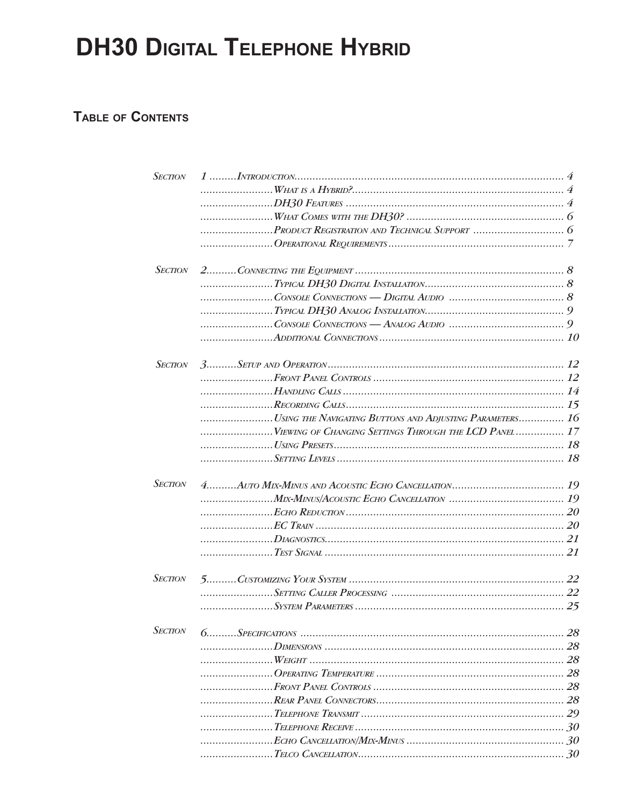# **DH30 DIGITAL TELEPHONE HYBRID**

# TABLE OF CONTENTS

| <b>SECTION</b> |                                                          |  |
|----------------|----------------------------------------------------------|--|
|                |                                                          |  |
|                |                                                          |  |
|                |                                                          |  |
|                |                                                          |  |
|                |                                                          |  |
|                |                                                          |  |
| <b>SECTION</b> |                                                          |  |
|                |                                                          |  |
|                |                                                          |  |
|                |                                                          |  |
|                |                                                          |  |
|                |                                                          |  |
| <b>SECTION</b> |                                                          |  |
|                |                                                          |  |
|                |                                                          |  |
|                |                                                          |  |
|                | USING THE NAVIGATING BUTTONS AND ADJUSTING PARAMETERS 16 |  |
|                | VIEWING OF CHANGING SETTINGS THROUGH THE LCD PANEL 17    |  |
|                |                                                          |  |
|                |                                                          |  |
| <b>SECTION</b> |                                                          |  |
|                |                                                          |  |
|                |                                                          |  |
|                |                                                          |  |
|                |                                                          |  |
|                |                                                          |  |
| <b>SECTION</b> |                                                          |  |
|                |                                                          |  |
|                |                                                          |  |
| <b>SECTION</b> |                                                          |  |
|                |                                                          |  |
|                |                                                          |  |
|                |                                                          |  |
|                |                                                          |  |
|                |                                                          |  |
|                |                                                          |  |
|                |                                                          |  |
|                |                                                          |  |
|                |                                                          |  |
|                |                                                          |  |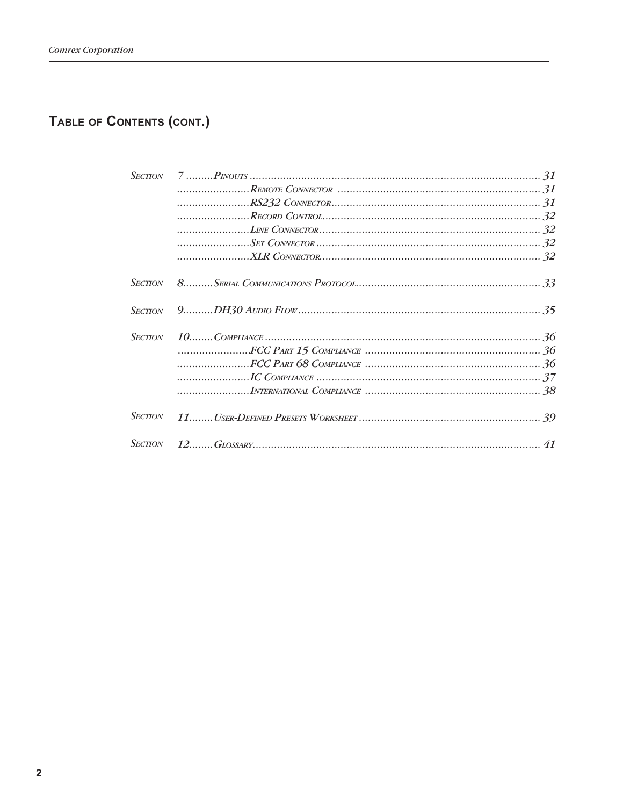# TABLE OF CONTENTS (CONT.)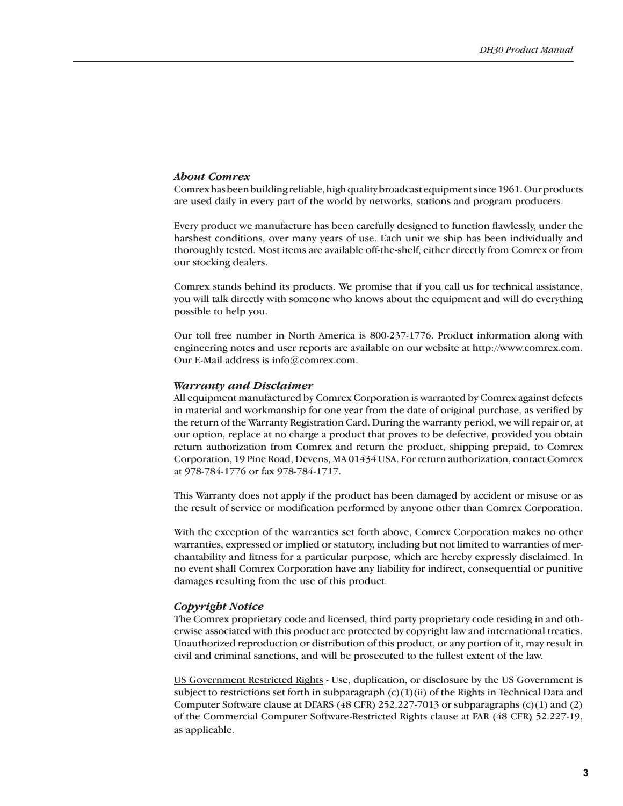#### *About Comrex*

Comrex has been building reliable, high quality broadcast equipment since 1961. Our products are used daily in every part of the world by networks, stations and program producers.

Every product we manufacture has been carefully designed to function flawlessly, under the harshest conditions, over many years of use. Each unit we ship has been individually and thoroughly tested. Most items are available off-the-shelf, either directly from Comrex or from our stocking dealers.

Comrex stands behind its products. We promise that if you call us for technical assistance, you will talk directly with someone who knows about the equipment and will do everything possible to help you.

Our toll free number in North America is 800-237-1776. Product information along with engineering notes and user reports are available on our website at http://www.comrex.com. Our E-Mail address is info@comrex.com.

#### *Warranty and Disclaimer*

All equipment manufactured by Comrex Corporation is warranted by Comrex against defects in material and workmanship for one year from the date of original purchase, as verified by the return of the Warranty Registration Card. During the warranty period, we will repair or, at our option, replace at no charge a product that proves to be defective, provided you obtain return authorization from Comrex and return the product, shipping prepaid, to Comrex Corporation, 19 Pine Road, Devens, MA 01434 USA. For return authorization, contact Comrex at 978-784-1776 or fax 978-784-1717.

This Warranty does not apply if the product has been damaged by accident or misuse or as the result of service or modification performed by anyone other than Comrex Corporation.

With the exception of the warranties set forth above, Comrex Corporation makes no other warranties, expressed or implied or statutory, including but not limited to warranties of merchantability and fitness for a particular purpose, which are hereby expressly disclaimed. In no event shall Comrex Corporation have any liability for indirect, consequential or punitive damages resulting from the use of this product.

#### *Copyright Notice*

The Comrex proprietary code and licensed, third party proprietary code residing in and otherwise associated with this product are protected by copyright law and international treaties. Unauthorized reproduction or distribution of this product, or any portion of it, may result in civil and criminal sanctions, and will be prosecuted to the fullest extent of the law.

US Government Restricted Rights - Use, duplication, or disclosure by the US Government is subject to restrictions set forth in subparagraph  $(c)(1)(ii)$  of the Rights in Technical Data and Computer Software clause at DFARS (48 CFR) 252.227-7013 or subparagraphs (c)(1) and (2) of the Commercial Computer Software-Restricted Rights clause at FAR (48 CFR) 52.227-19, as applicable.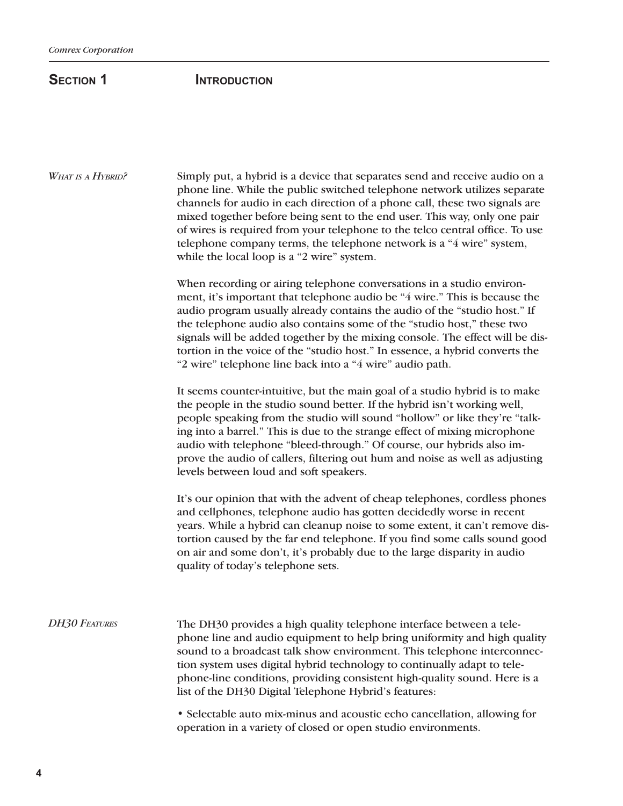# **SECTION 1 INTRODUCTION**

Simply put, a hybrid is a device that separates send and receive audio on a phone line. While the public switched telephone network utilizes separate channels for audio in each direction of a phone call, these two signals are mixed together before being sent to the end user. This way, only one pair of wires is required from your telephone to the telco central office. To use telephone company terms, the telephone network is a "4 wire" system, while the local loop is a "2 wire" system. *What is a Hybrid?*

> When recording or airing telephone conversations in a studio environment, it's important that telephone audio be "4 wire." This is because the audio program usually already contains the audio of the "studio host." If the telephone audio also contains some of the "studio host," these two signals will be added together by the mixing console. The effect will be distortion in the voice of the "studio host." In essence, a hybrid converts the "2 wire" telephone line back into a "4 wire" audio path.

It seems counter-intuitive, but the main goal of a studio hybrid is to make the people in the studio sound better. If the hybrid isn't working well, people speaking from the studio will sound "hollow" or like they're "talking into a barrel." This is due to the strange effect of mixing microphone audio with telephone "bleed-through." Of course, our hybrids also improve the audio of callers, filtering out hum and noise as well as adjusting levels between loud and soft speakers.

It's our opinion that with the advent of cheap telephones, cordless phones and cellphones, telephone audio has gotten decidedly worse in recent years. While a hybrid can cleanup noise to some extent, it can't remove distortion caused by the far end telephone. If you find some calls sound good on air and some don't, it's probably due to the large disparity in audio quality of today's telephone sets.

The DH30 provides a high quality telephone interface between a telephone line and audio equipment to help bring uniformity and high quality sound to a broadcast talk show environment. This telephone interconnection system uses digital hybrid technology to continually adapt to telephone-line conditions, providing consistent high-quality sound. Here is a list of the DH30 Digital Telephone Hybrid's features: *DH30 Features*

> • Selectable auto mix-minus and acoustic echo cancellation, allowing for operation in a variety of closed or open studio environments.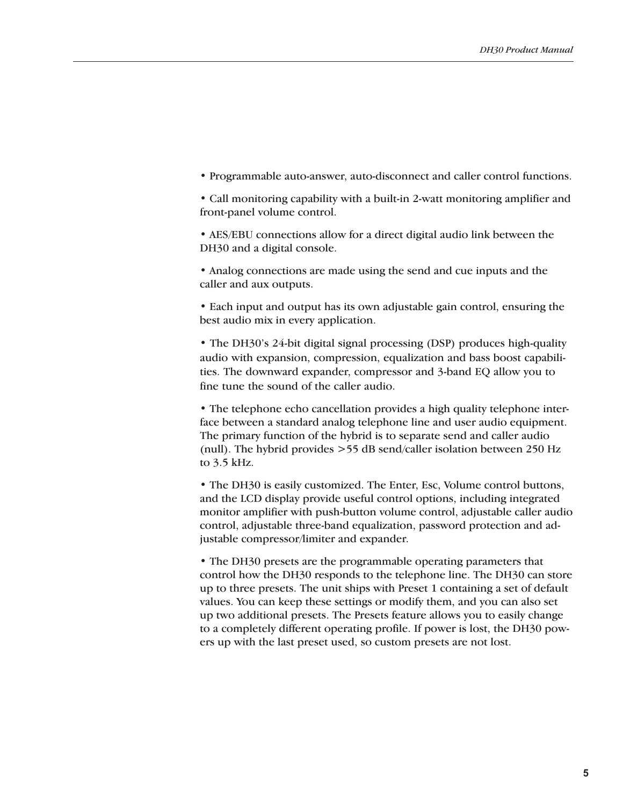• Programmable auto-answer, auto-disconnect and caller control functions.

• Call monitoring capability with a built-in 2-watt monitoring amplifier and front-panel volume control.

• AES/EBU connections allow for a direct digital audio link between the DH30 and a digital console.

• Analog connections are made using the send and cue inputs and the caller and aux outputs.

• Each input and output has its own adjustable gain control, ensuring the best audio mix in every application.

• The DH30's 24-bit digital signal processing (DSP) produces high-quality audio with expansion, compression, equalization and bass boost capabilities. The downward expander, compressor and 3-band EQ allow you to fine tune the sound of the caller audio.

• The telephone echo cancellation provides a high quality telephone interface between a standard analog telephone line and user audio equipment. The primary function of the hybrid is to separate send and caller audio (null). The hybrid provides >55 dB send/caller isolation between 250 Hz to 3.5 kHz.

• The DH30 is easily customized. The Enter, Esc, Volume control buttons, and the LCD display provide useful control options, including integrated monitor amplifier with push-button volume control, adjustable caller audio control, adjustable three-band equalization, password protection and adjustable compressor/limiter and expander.

• The DH30 presets are the programmable operating parameters that control how the DH30 responds to the telephone line. The DH30 can store up to three presets. The unit ships with Preset 1 containing a set of default values. You can keep these settings or modify them, and you can also set up two additional presets. The Presets feature allows you to easily change to a completely different operating profile. If power is lost, the DH30 powers up with the last preset used, so custom presets are not lost.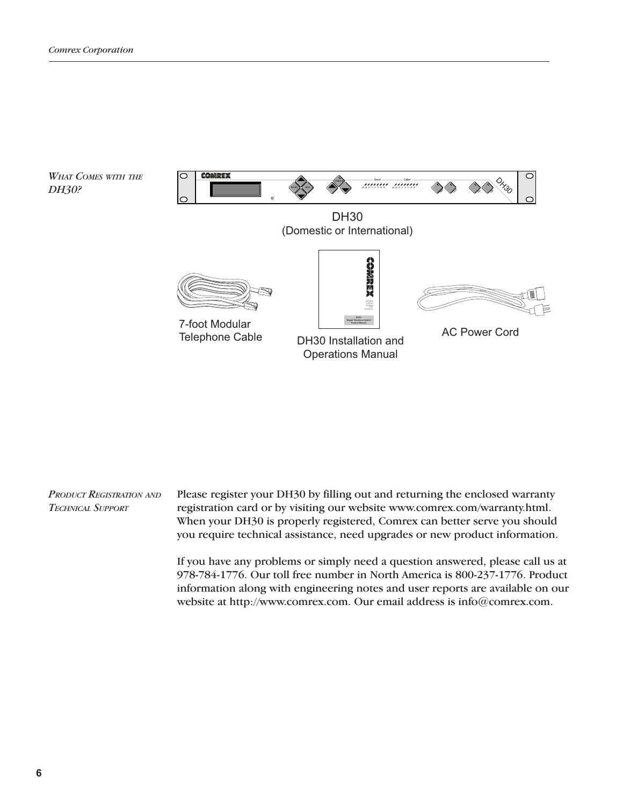

Please register your DH30 by filling out and returning the enclosed warranty registration card or by visiting our website www.comrex.com/warranty.html. When your DH30 is properly registered, Comrex can better serve you should you require technical assistance, need upgrades or new product information. *Product Registration and Technical Support*

> If you have any problems or simply need a question answered, please call us at 978-784-1776. Our toll free number in North America is 800-237-1776. Product information along with engineering notes and user reports are available on our website at http://www.comrex.com. Our email address is info@comrex.com.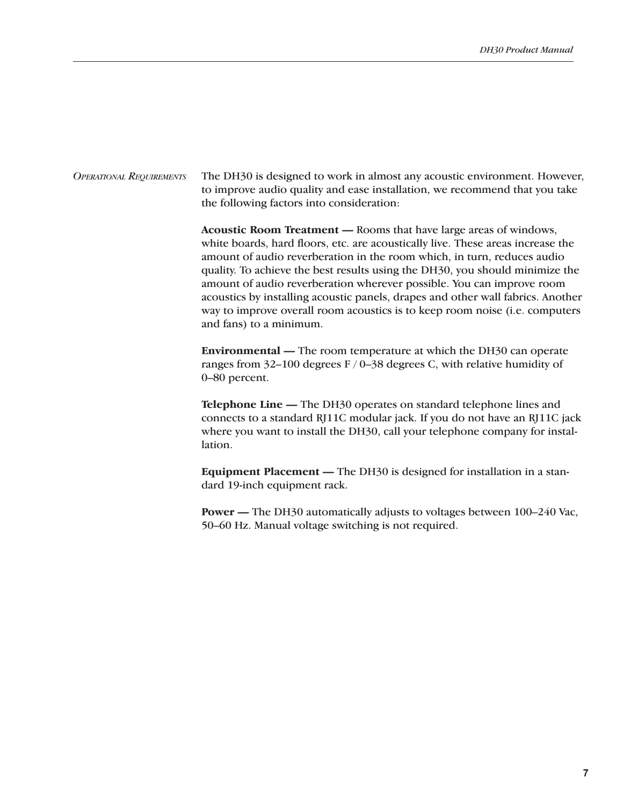The DH30 is designed to work in almost any acoustic environment. However, to improve audio quality and ease installation, we recommend that you take the following factors into consideration: *Operational Requirements*

> **Acoustic Room Treatment —** Rooms that have large areas of windows, white boards, hard floors, etc. are acoustically live. These areas increase the amount of audio reverberation in the room which, in turn, reduces audio quality. To achieve the best results using the DH30, you should minimize the amount of audio reverberation wherever possible. You can improve room acoustics by installing acoustic panels, drapes and other wall fabrics. Another way to improve overall room acoustics is to keep room noise (i.e. computers and fans) to a minimum.

**Environmental —** The room temperature at which the DH30 can operate ranges from  $32-100$  degrees F / 0-38 degrees C, with relative humidity of 0–80 percent.

**Telephone Line —** The DH30 operates on standard telephone lines and connects to a standard RJ11C modular jack. If you do not have an RJ11C jack where you want to install the DH30, call your telephone company for installation.

**Equipment Placement —** The DH30 is designed for installation in a standard 19-inch equipment rack.

**Power —** The DH30 automatically adjusts to voltages between 100–240 Vac, 50–60 Hz. Manual voltage switching is not required.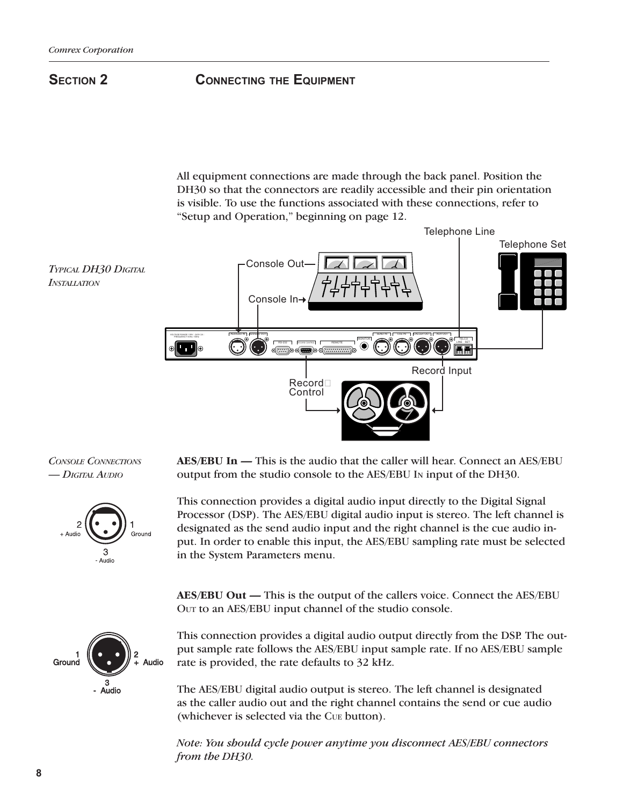# **SECTION 2 CONNECTING THE EQUIPMENT**

All equipment connections are made through the back panel. Position the DH30 so that the connectors are readily accessible and their pin orientation is visible. To use the functions associated with these connections, refer to "Setup and Operation," beginning on page 12.









**AES/EBU In —** This is the audio that the caller will hear. Connect an AES/EBU output from the studio console to the AES/EBU In input of the DH30.

This connection provides a digital audio input directly to the Digital Signal Processor (DSP). The AES/EBU digital audio input is stereo. The left channel is designated as the send audio input and the right channel is the cue audio input. In order to enable this input, the AES/EBU sampling rate must be selected in the System Parameters menu.

**AES/EBU Out —** This is the output of the callers voice. Connect the AES/EBU Out to an AES/EBU input channel of the studio console.

This connection provides a digital audio output directly from the DSP. The output sample rate follows the AES/EBU input sample rate. If no AES/EBU sample rate is provided, the rate defaults to 32 kHz.

The AES/EBU digital audio output is stereo. The left channel is designated as the caller audio out and the right channel contains the send or cue audio (whichever is selected via the Cue button).

*Note: You should cycle power anytime you disconnect AES/EBU connectors from the DH30.*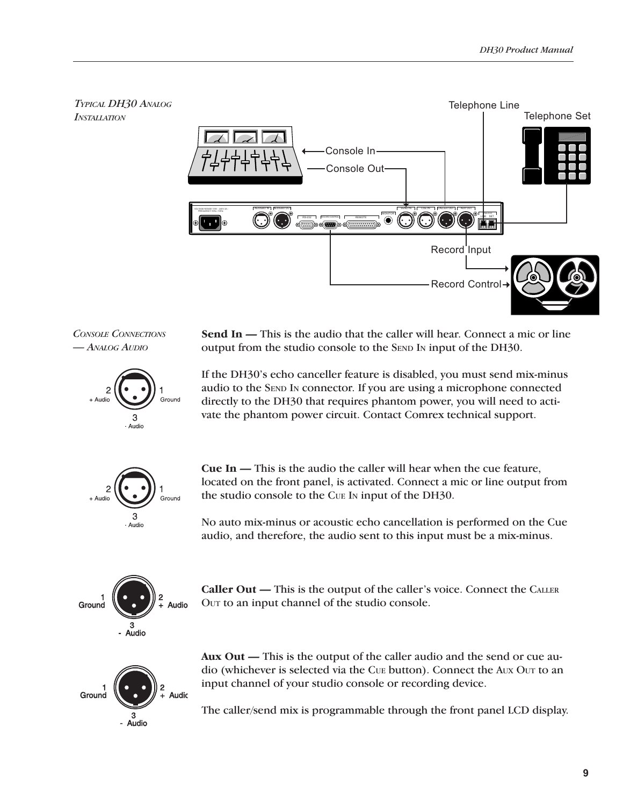

*Console Connections — Analog Audio*





If the DH30's echo canceller feature is disabled, you must send mix-minus audio to the SEND IN connector. If you are using a microphone connected directly to the DH30 that requires phantom power, you will need to activate the phantom power circuit. Contact Comrex technical support.



**Cue In —** This is the audio the caller will hear when the cue feature, located on the front panel, is activated. Connect a mic or line output from the studio console to the Cue In input of the DH30.

No auto mix-minus or acoustic echo cancellation is performed on the Cue audio, and therefore, the audio sent to this input must be a mix-minus.



**Caller Out —** This is the output of the caller's voice. Connect the Caller Out to an input channel of the studio console.



**Aux Out —** This is the output of the caller audio and the send or cue audio (whichever is selected via the Cue button). Connect the Aux Our to an input channel of your studio console or recording device.

The caller/send mix is programmable through the front panel LCD display.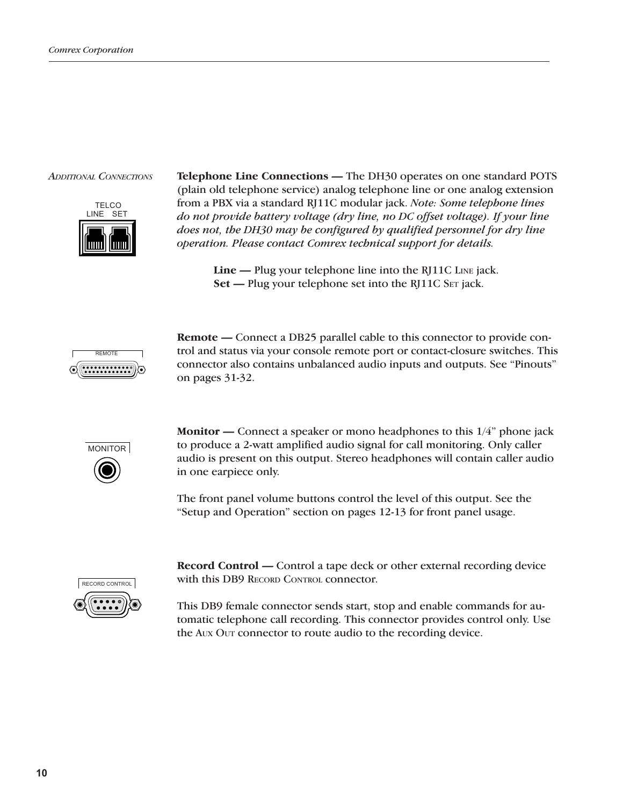

*Additional Connections* **Telephone Line Connections —** The DH30 operates on one standard POTS (plain old telephone service) analog telephone line or one analog extension from a PBX via a standard RJ11C modular jack. *Note: Some telephone lines do not provide battery voltage (dry line, no DC offset voltage). If your line does not, the DH30 may be configured by qualified personnel for dry line operation. Please contact Comrex technical support for details.*

> **Line —** Plug your telephone line into the RJ11C Line jack. **Set —** Plug your telephone set into the RJ11C SET jack.



**Remote —** Connect a DB25 parallel cable to this connector to provide control and status via your console remote port or contact-closure switches. This connector also contains unbalanced audio inputs and outputs. See "Pinouts" on pages 31-32.



**Monitor —** Connect a speaker or mono headphones to this 1/4" phone jack to produce a 2-watt amplified audio signal for call monitoring. Only caller audio is present on this output. Stereo headphones will contain caller audio in one earpiece only.

The front panel volume buttons control the level of this output. See the "Setup and Operation" section on pages 12-13 for front panel usage.



**Record Control —** Control a tape deck or other external recording device with this DB9 RECORD CONTROL connector.

This DB9 female connector sends start, stop and enable commands for automatic telephone call recording. This connector provides control only. Use the Aux Our connector to route audio to the recording device.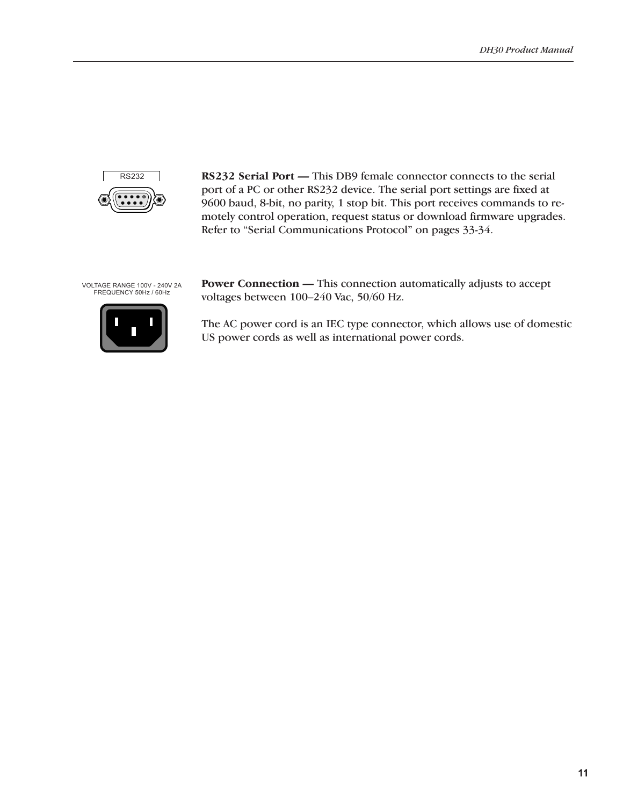

**RS232 Serial Port —** This DB9 female connector connects to the serial port of a PC or other RS232 device. The serial port settings are fixed at 9600 baud, 8-bit, no parity, 1 stop bit. This port receives commands to remotely control operation, request status or download firmware upgrades. Refer to "Serial Communications Protocol" on pages 33-34.

VOLTAGE RANGE 100V - 240V 2A FREQUENCY 50Hz / 60Hz



**Power Connection —** This connection automatically adjusts to accept voltages between 100–240 Vac, 50/60 Hz.

The AC power cord is an IEC type connector, which allows use of domestic US power cords as well as international power cords.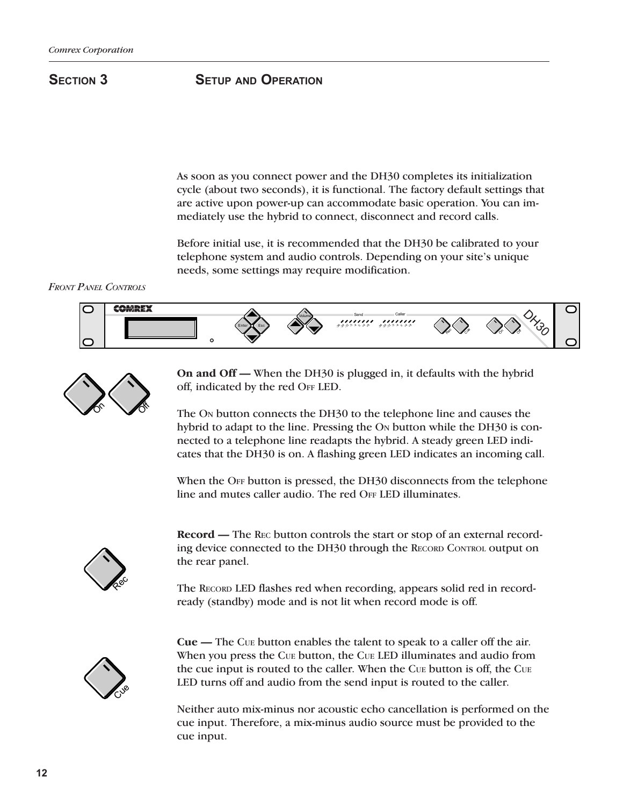## **Section 3 Setup and Operation**

As soon as you connect power and the DH30 completes its initialization cycle (about two seconds), it is functional. The factory default settings that are active upon power-up can accommodate basic operation. You can immediately use the hybrid to connect, disconnect and record calls.

Before initial use, it is recommended that the DH30 be calibrated to your telephone system and audio controls. Depending on your site's unique needs, some settings may require modification.

*Front Panel Controls*





**On and Off —** When the DH30 is plugged in, it defaults with the hybrid off, indicated by the red OFF LED.

The On button connects the DH30 to the telephone line and causes the hybrid to adapt to the line. Pressing the On button while the DH30 is connected to a telephone line readapts the hybrid. A steady green LED indicates that the DH30 is on. A flashing green LED indicates an incoming call.

When the OFF button is pressed, the DH30 disconnects from the telephone line and mutes caller audio. The red OFF LED illuminates.



**Record —** The Rec button controls the start or stop of an external recording device connected to the DH30 through the RECORD CONTROL output on the rear panel.

The Record LED flashes red when recording, appears solid red in recordready (standby) mode and is not lit when record mode is off.



**Cue —** The Cue button enables the talent to speak to a caller off the air. When you press the Cue button, the Cue LED illuminates and audio from the cue input is routed to the caller. When the Cue button is off, the Cue LED turns off and audio from the send input is routed to the caller.

Neither auto mix-minus nor acoustic echo cancellation is performed on the cue input. Therefore, a mix-minus audio source must be provided to the cue input.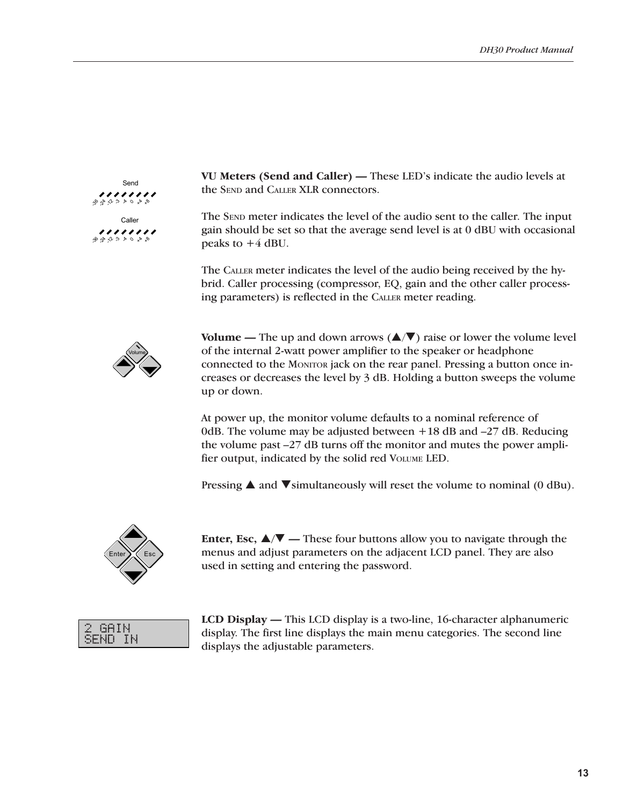

**VU Meters (Send and Caller) —** These LED's indicate the audio levels at the SEND and CALLER XLR connectors.

The SEND meter indicates the level of the audio sent to the caller. The input gain should be set so that the average send level is at 0 dBU with occasional peaks to  $+4$  dBU.

The Caller meter indicates the level of the audio being received by the hybrid. Caller processing (compressor, EQ, gain and the other caller processing parameters) is reflected in the Caller meter reading.



**Volume —** The up and down arrows  $(\triangle/\blacktriangledown)$  raise or lower the volume level of the internal 2-watt power amplifier to the speaker or headphone connected to the Monitor jack on the rear panel. Pressing a button once increases or decreases the level by 3 dB. Holding a button sweeps the volume up or down.

At power up, the monitor volume defaults to a nominal reference of 0dB. The volume may be adjusted between +18 dB and –27 dB. Reducing the volume past –27 dB turns off the monitor and mutes the power amplifier output, indicated by the solid red Volume LED.

Pressing  $\triangle$  and  $\nabla$  simultaneously will reset the volume to nominal (0 dBu).



**Enter, Esc,**  $\triangle$ **/** $\nabla$  — These four buttons allow you to navigate through the menus and adjust parameters on the adjacent LCD panel. They are also used in setting and entering the password.

GAIN SEÑD IN

**LCD Display —** This LCD display is a two-line, 16-character alphanumeric display. The first line displays the main menu categories. The second line displays the adjustable parameters.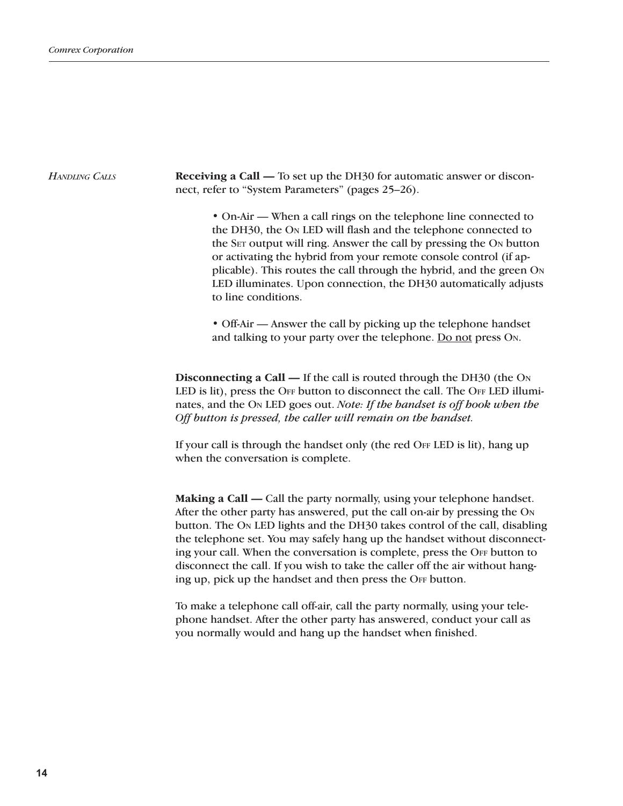#### *HANDLING* CALLS **Receiving a Call —** To set up the DH30 for automatic answer or disconnect, refer to "System Parameters" (pages 25–26).

• On-Air — When a call rings on the telephone line connected to the DH30, the On LED will flash and the telephone connected to the SET output will ring. Answer the call by pressing the ON button or activating the hybrid from your remote console control (if applicable). This routes the call through the hybrid, and the green On LED illuminates. Upon connection, the DH30 automatically adjusts to line conditions.

• Off-Air — Answer the call by picking up the telephone handset and talking to your party over the telephone. Do not press On.

**Disconnecting a Call —** If the call is routed through the DH30 (the On LED is lit), press the OFF button to disconnect the call. The OFF LED illuminates, and the On LED goes out. *Note: If the handset is off hook when the Off button is pressed, the caller will remain on the handset.*

If your call is through the handset only (the red OFF LED is lit), hang up when the conversation is complete.

**Making a Call —** Call the party normally, using your telephone handset. After the other party has answered, put the call on-air by pressing the On button. The On LED lights and the DH30 takes control of the call, disabling the telephone set. You may safely hang up the handset without disconnecting your call. When the conversation is complete, press the OFF button to disconnect the call. If you wish to take the caller off the air without hanging up, pick up the handset and then press the OFF button.

To make a telephone call off-air, call the party normally, using your telephone handset. After the other party has answered, conduct your call as you normally would and hang up the handset when finished.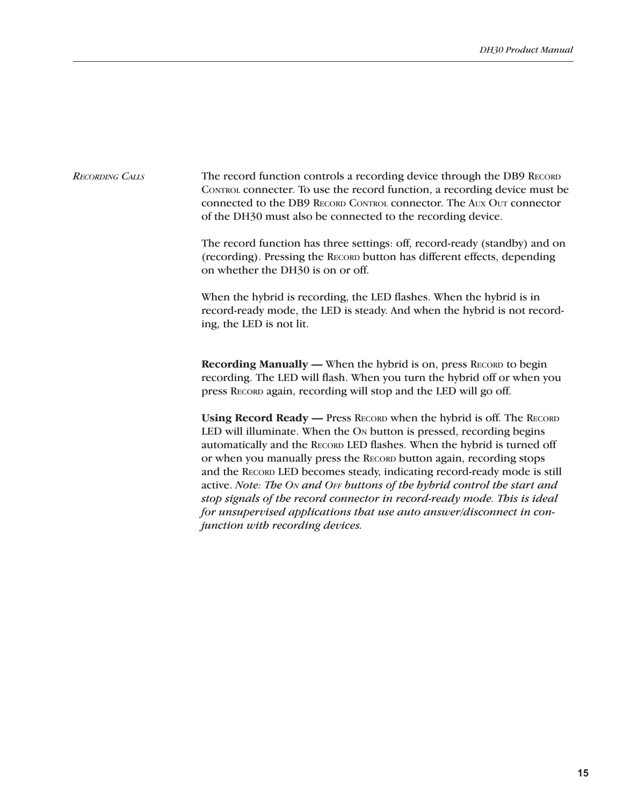The record function controls a recording device through the DB9 RECORD CONTROL connecter. To use the record function, a recording device must be connected to the DB9 Record Control connector. The Aux Out connector of the DH30 must also be connected to the recording device. *Recording Calls*

> The record function has three settings: off, record-ready (standby) and on (recording). Pressing the Record button has different effects, depending on whether the DH30 is on or off.

> When the hybrid is recording, the LED flashes. When the hybrid is in record-ready mode, the LED is steady. And when the hybrid is not recording, the LED is not lit.

> **Recording Manually —** When the hybrid is on, press RECORD to begin recording. The LED will flash. When you turn the hybrid off or when you press Record again, recording will stop and the LED will go off.

> **Using Record Ready —** Press Record when the hybrid is off. The Record LED will illuminate. When the On button is pressed, recording begins automatically and the RECORD LED flashes. When the hybrid is turned off or when you manually press the RECORD button again, recording stops and the RECORD LED becomes steady, indicating record-ready mode is still active. *Note: The On and Off buttons of the hybrid control the start and stop signals of the record connector in record-ready mode. This is ideal for unsupervised applications that use auto answer/disconnect in conjunction with recording devices.*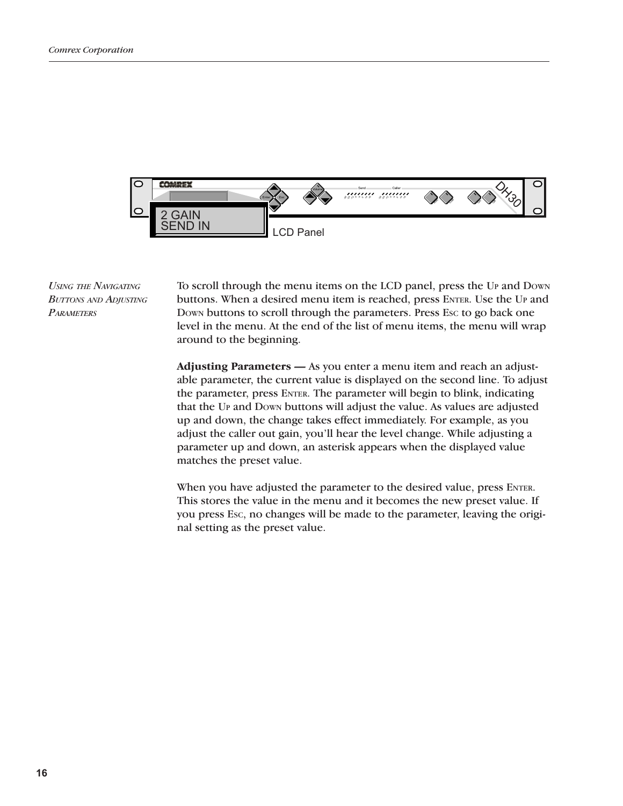

*Using the Navigating Buttons and Adjusting Parameters*

To scroll through the menu items on the LCD panel, press the Up and Down buttons. When a desired menu item is reached, press ENTER. Use the Up and Down buttons to scroll through the parameters. Press Esc to go back one level in the menu. At the end of the list of menu items, the menu will wrap around to the beginning.

**Adjusting Parameters —** As you enter a menu item and reach an adjustable parameter, the current value is displayed on the second line. To adjust the parameter, press ENTER. The parameter will begin to blink, indicating that the Up and Down buttons will adjust the value. As values are adjusted up and down, the change takes effect immediately. For example, as you adjust the caller out gain, you'll hear the level change. While adjusting a parameter up and down, an asterisk appears when the displayed value matches the preset value.

When you have adjusted the parameter to the desired value, press ENTER. This stores the value in the menu and it becomes the new preset value. If you press Esc, no changes will be made to the parameter, leaving the original setting as the preset value.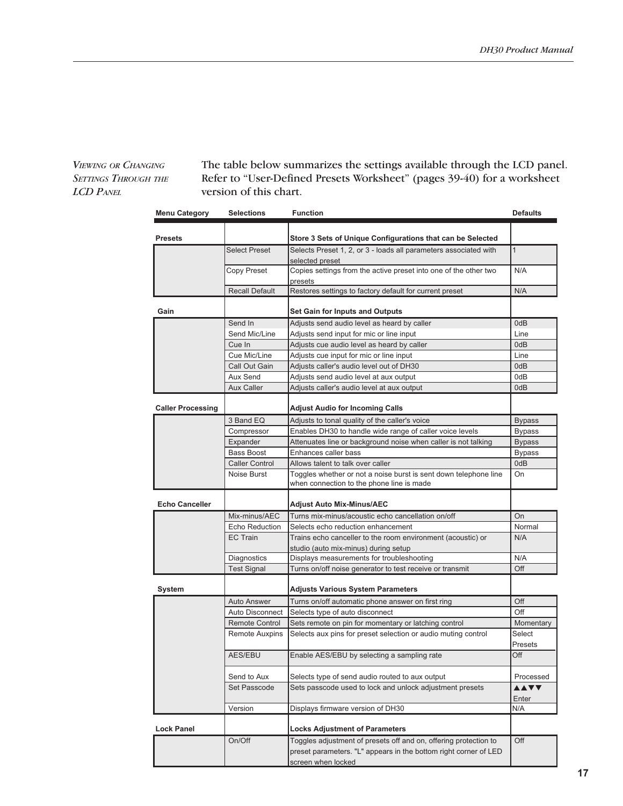### *Viewing or Changing Settings Through the LCD Panel*

The table below summarizes the settings available through the LCD panel. Refer to "User-Defined Presets Worksheet" (pages 39-40) for a worksheet version of this chart.

| <b>Menu Category</b>     | <b>Selections</b>     | <b>Function</b>                                                                                                                                            | Defaults             |
|--------------------------|-----------------------|------------------------------------------------------------------------------------------------------------------------------------------------------------|----------------------|
|                          |                       |                                                                                                                                                            |                      |
| <b>Presets</b>           |                       | Store 3 Sets of Unique Configurations that can be Selected                                                                                                 |                      |
|                          | <b>Select Preset</b>  | Selects Preset 1, 2, or 3 - loads all parameters associated with<br>selected preset                                                                        | $\mathbf{1}$         |
|                          | Copy Preset           | Copies settings from the active preset into one of the other two<br>presets                                                                                | N/A                  |
|                          | <b>Recall Default</b> | Restores settings to factory default for current preset                                                                                                    | N/A                  |
| Gain                     |                       | <b>Set Gain for Inputs and Outputs</b>                                                                                                                     |                      |
|                          | Send In               | Adjusts send audio level as heard by caller                                                                                                                | 0dB                  |
|                          | Send Mic/Line         | Adjusts send input for mic or line input                                                                                                                   | Line                 |
|                          | Cue In                | Adjusts cue audio level as heard by caller                                                                                                                 | 0dB                  |
|                          | Cue Mic/Line          | Adjusts cue input for mic or line input                                                                                                                    | Line                 |
|                          | Call Out Gain         | Adjusts caller's audio level out of DH30                                                                                                                   | 0dB                  |
|                          | Aux Send              | Adjusts send audio level at aux output                                                                                                                     | 0dB                  |
|                          | <b>Aux Caller</b>     | Adjusts caller's audio level at aux output                                                                                                                 | 0dB                  |
|                          |                       |                                                                                                                                                            |                      |
| <b>Caller Processing</b> |                       | <b>Adjust Audio for Incoming Calls</b>                                                                                                                     |                      |
|                          | 3 Band EQ             | Adjusts to tonal quality of the caller's voice                                                                                                             | <b>Bypass</b>        |
|                          | Compressor            | Enables DH30 to handle wide range of caller voice levels                                                                                                   | <b>Bypass</b>        |
|                          | Expander              | Attenuates line or background noise when caller is not talking                                                                                             | <b>Bypass</b>        |
|                          | Bass Boost            | Enhances caller bass                                                                                                                                       | <b>Bypass</b>        |
|                          | <b>Caller Control</b> | Allows talent to talk over caller                                                                                                                          | 0dB                  |
|                          | Noise Burst           | Toggles whether or not a noise burst is sent down telephone line<br>when connection to the phone line is made                                              | On                   |
| <b>Echo Canceller</b>    |                       | Adjust Auto Mix-Minus/AEC                                                                                                                                  |                      |
|                          | Mix-minus/AEC         | Turns mix-minus/acoustic echo cancellation on/off                                                                                                          | On                   |
|                          | Echo Reduction        | Selects echo reduction enhancement                                                                                                                         | Normal               |
|                          | EC Train              | Trains echo canceller to the room environment (acoustic) or                                                                                                | N/A                  |
|                          |                       | studio (auto mix-minus) during setup                                                                                                                       |                      |
|                          | Diagnostics           | Displays measurements for troubleshooting                                                                                                                  | N/A                  |
|                          | <b>Test Signal</b>    | Turns on/off noise generator to test receive or transmit                                                                                                   | Off                  |
| System                   |                       | Adjusts Various System Parameters                                                                                                                          |                      |
|                          | <b>Auto Answer</b>    | Turns on/off automatic phone answer on first ring                                                                                                          | Off                  |
|                          | Auto Disconnect       | Selects type of auto disconnect                                                                                                                            | Off                  |
|                          | Remote Control        | Sets remote on pin for momentary or latching control                                                                                                       | Momentary            |
|                          | <b>Remote Auxpins</b> | Selects aux pins for preset selection or audio muting control                                                                                              | Select<br>Presets    |
|                          | <b>AES/EBU</b>        | Enable AES/EBU by selecting a sampling rate                                                                                                                | Off                  |
|                          | Send to Aux           | Selects type of send audio routed to aux output                                                                                                            | Processed            |
|                          | Set Passcode          | Sets passcode used to lock and unlock adjustment presets                                                                                                   | <b>AAVV</b><br>Enter |
|                          | Version               | Displays firmware version of DH30                                                                                                                          | N/A                  |
| <b>Lock Panel</b>        |                       | <b>Locks Adjustment of Parameters</b>                                                                                                                      |                      |
|                          | On/Off                | Toggles adjustment of presets off and on, offering protection to<br>preset parameters. "L" appears in the bottom right corner of LED<br>screen when locked | Off                  |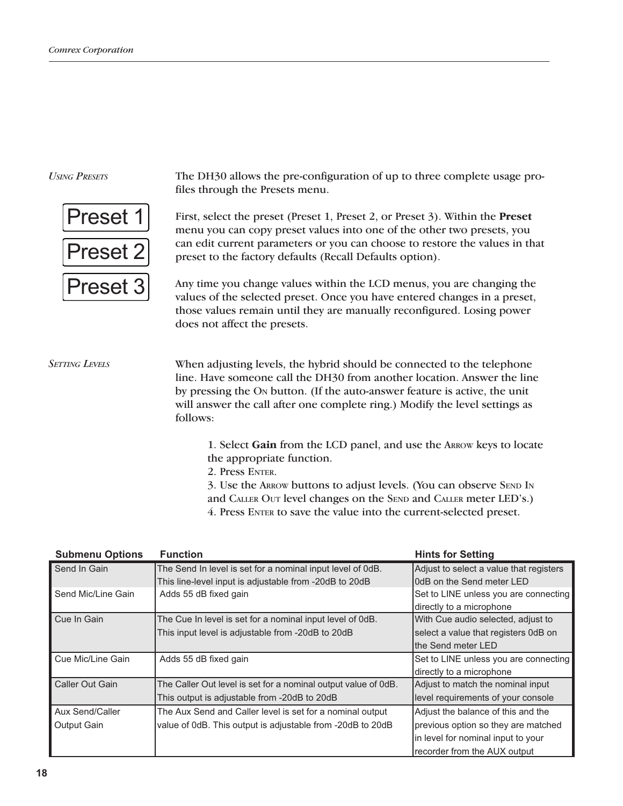#### *Using Presets*



The DH30 allows the pre-configuration of up to three complete usage profiles through the Presets menu.

First, select the preset (Preset 1, Preset 2, or Preset 3). Within the **Preset** menu you can copy preset values into one of the other two presets, you can edit current parameters or you can choose to restore the values in that preset to the factory defaults (Recall Defaults option).

Any time you change values within the LCD menus, you are changing the values of the selected preset. Once you have entered changes in a preset, those values remain until they are manually reconfigured. Losing power does not affect the presets.

When adjusting levels, the hybrid should be connected to the telephone line. Have someone call the DH30 from another location. Answer the line by pressing the On button. (If the auto-answer feature is active, the unit will answer the call after one complete ring.) Modify the level settings as follows: *Setting Levels*

> 1. Select **Gain** from the LCD panel, and use the Arrow keys to locate the appropriate function.

2. Press Enter.

3. Use the ARROW buttons to adjust levels. (You can observe SEND IN and CALLER OUT level changes on the SEND and CALLER meter LED's.) 4. Press ENTER to save the value into the current-selected preset.

| <b>Submenu Options</b> | <b>Function</b>                                                | <b>Hints for Setting</b>                |
|------------------------|----------------------------------------------------------------|-----------------------------------------|
| Send In Gain           | The Send In level is set for a nominal input level of 0dB.     | Adjust to select a value that registers |
|                        | This line-level input is adjustable from -20dB to 20dB         | OdB on the Send meter LED               |
| Send Mic/Line Gain     | Adds 55 dB fixed gain                                          | Set to LINE unless you are connecting   |
|                        |                                                                | directly to a microphone                |
| Cue In Gain            | The Cue In level is set for a nominal input level of 0dB.      | With Cue audio selected, adjust to      |
|                        | This input level is adjustable from -20dB to 20dB              | select a value that registers 0dB on    |
|                        |                                                                | Ithe Send meter LED                     |
| Cue Mic/Line Gain      | Adds 55 dB fixed gain                                          | Set to LINE unless you are connecting   |
|                        |                                                                | directly to a microphone                |
| Caller Out Gain        | The Caller Out level is set for a nominal output value of 0dB. | Adjust to match the nominal input       |
|                        | This output is adjustable from -20dB to 20dB                   | level requirements of your console      |
| Aux Send/Caller        | The Aux Send and Caller level is set for a nominal output      | Adjust the balance of this and the      |
| Output Gain            | value of 0dB. This output is adjustable from -20dB to 20dB     | previous option so they are matched     |
|                        |                                                                | in level for nominal input to your      |
|                        |                                                                | recorder from the AUX output            |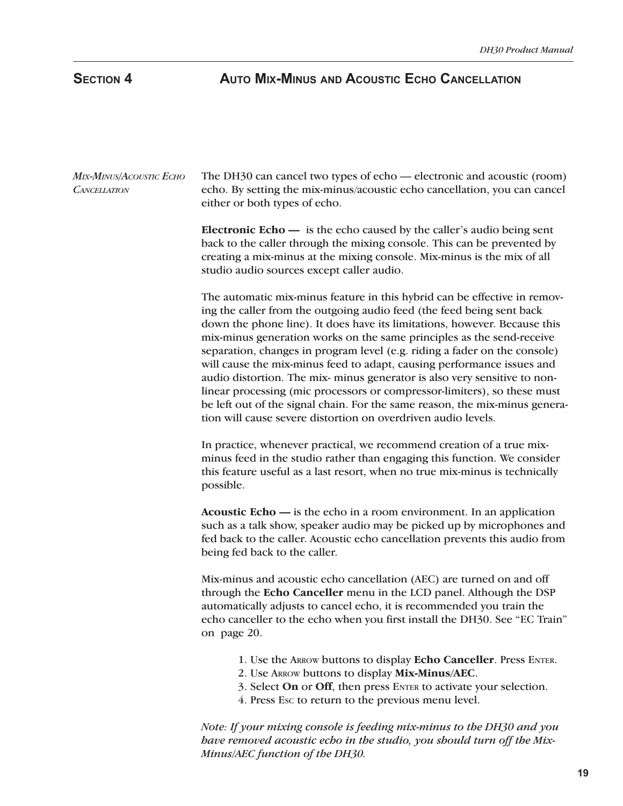# **Section 4 Auto Mix-Minus and Acoustic Echo Cancellation**

The DH30 can cancel two types of echo — electronic and acoustic (room) echo. By setting the mix-minus/acoustic echo cancellation, you can cancel either or both types of echo. **Electronic Echo —** is the echo caused by the caller's audio being sent back to the caller through the mixing console. This can be prevented by creating a mix-minus at the mixing console. Mix-minus is the mix of all studio audio sources except caller audio. The automatic mix-minus feature in this hybrid can be effective in removing the caller from the outgoing audio feed (the feed being sent back down the phone line). It does have its limitations, however. Because this mix-minus generation works on the same principles as the send-receive separation, changes in program level (e.g. riding a fader on the console) will cause the mix-minus feed to adapt, causing performance issues and audio distortion. The mix- minus generator is also very sensitive to nonlinear processing (mic processors or compressor-limiters), so these must be left out of the signal chain. For the same reason, the mix-minus generation will cause severe distortion on overdriven audio levels. In practice, whenever practical, we recommend creation of a true mixminus feed in the studio rather than engaging this function. We consider this feature useful as a last resort, when no true mix-minus is technically possible. **Acoustic Echo —** is the echo in a room environment. In an application such as a talk show, speaker audio may be picked up by microphones and fed back to the caller. Acoustic echo cancellation prevents this audio from being fed back to the caller. Mix-minus and acoustic echo cancellation (AEC) are turned on and off through the **Echo Canceller** menu in the LCD panel. Although the DSP automatically adjusts to cancel echo, it is recommended you train the echo canceller to the echo when you first install the DH30. See "EC Train" on page 20. 1. Use the Arrow buttons to display **Echo Canceller**. Press Enter. 2. Use Arrow buttons to display **Mix-Minus/AEC**. 3. Select **On** or **Off**, then press Enter to activate your selection. 4. Press Esc to return to the previous menu level. *Mix-Minus/Acoustic Echo Cancellation*

*Note: If your mixing console is feeding mix-minus to the DH30 and you have removed acoustic echo in the studio, you should turn off the Mix-Minus/AEC function of the DH30.*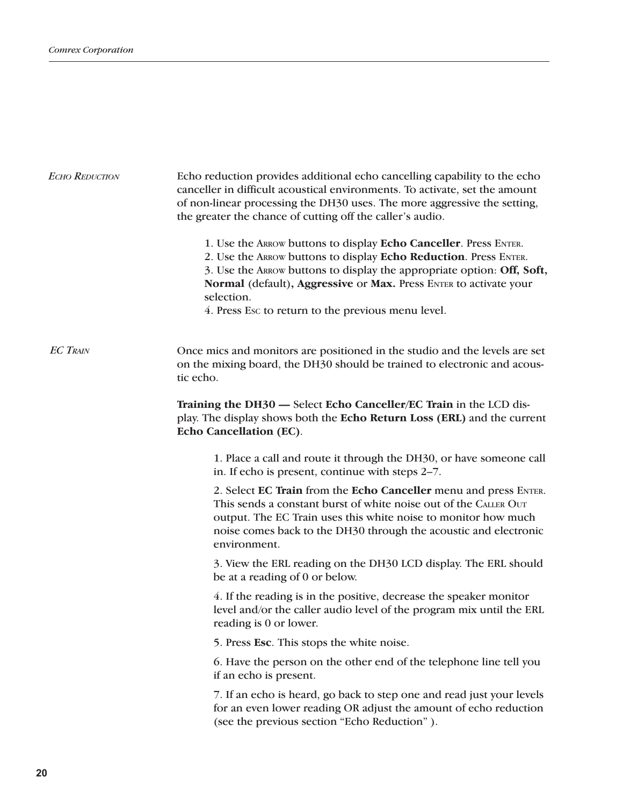| <b>ECHO REDUCTION</b> | Echo reduction provides additional echo cancelling capability to the echo<br>canceller in difficult acoustical environments. To activate, set the amount<br>of non-linear processing the DH30 uses. The more aggressive the setting,<br>the greater the chance of cutting off the caller's audio.<br>1. Use the ARROW buttons to display Echo Canceller. Press ENTER.<br>2. Use the ARROW buttons to display Echo Reduction. Press ENTER.<br>3. Use the ARROW buttons to display the appropriate option: Off, Soft,<br>Normal (default), Aggressive or Max. Press ENTER to activate your<br>selection. |
|-----------------------|--------------------------------------------------------------------------------------------------------------------------------------------------------------------------------------------------------------------------------------------------------------------------------------------------------------------------------------------------------------------------------------------------------------------------------------------------------------------------------------------------------------------------------------------------------------------------------------------------------|
|                       | 4. Press Esc to return to the previous menu level.                                                                                                                                                                                                                                                                                                                                                                                                                                                                                                                                                     |
| <b>EC TRAIN</b>       | Once mics and monitors are positioned in the studio and the levels are set<br>on the mixing board, the DH30 should be trained to electronic and acous-<br>tic echo.                                                                                                                                                                                                                                                                                                                                                                                                                                    |
|                       | Training the DH30 - Select Echo Canceller/EC Train in the LCD dis-<br>play. The display shows both the Echo Return Loss (ERL) and the current<br><b>Echo Cancellation (EC).</b>                                                                                                                                                                                                                                                                                                                                                                                                                        |
|                       | 1. Place a call and route it through the DH30, or have someone call<br>in. If echo is present, continue with steps 2-7.                                                                                                                                                                                                                                                                                                                                                                                                                                                                                |
|                       | 2. Select EC Train from the Echo Canceller menu and press ENTER.<br>This sends a constant burst of white noise out of the CALLER OUT<br>output. The EC Train uses this white noise to monitor how much<br>noise comes back to the DH30 through the acoustic and electronic<br>environment.                                                                                                                                                                                                                                                                                                             |
|                       | 3. View the ERL reading on the DH30 LCD display. The ERL should<br>be at a reading of 0 or below.                                                                                                                                                                                                                                                                                                                                                                                                                                                                                                      |
|                       | 4. If the reading is in the positive, decrease the speaker monitor<br>level and/or the caller audio level of the program mix until the ERL<br>reading is 0 or lower.                                                                                                                                                                                                                                                                                                                                                                                                                                   |
|                       | 5. Press Esc. This stops the white noise.                                                                                                                                                                                                                                                                                                                                                                                                                                                                                                                                                              |
|                       | 6. Have the person on the other end of the telephone line tell you<br>if an echo is present.                                                                                                                                                                                                                                                                                                                                                                                                                                                                                                           |
|                       | 7. If an echo is heard, go back to step one and read just your levels<br>for an even lower reading OR adjust the amount of echo reduction<br>(see the previous section "Echo Reduction").                                                                                                                                                                                                                                                                                                                                                                                                              |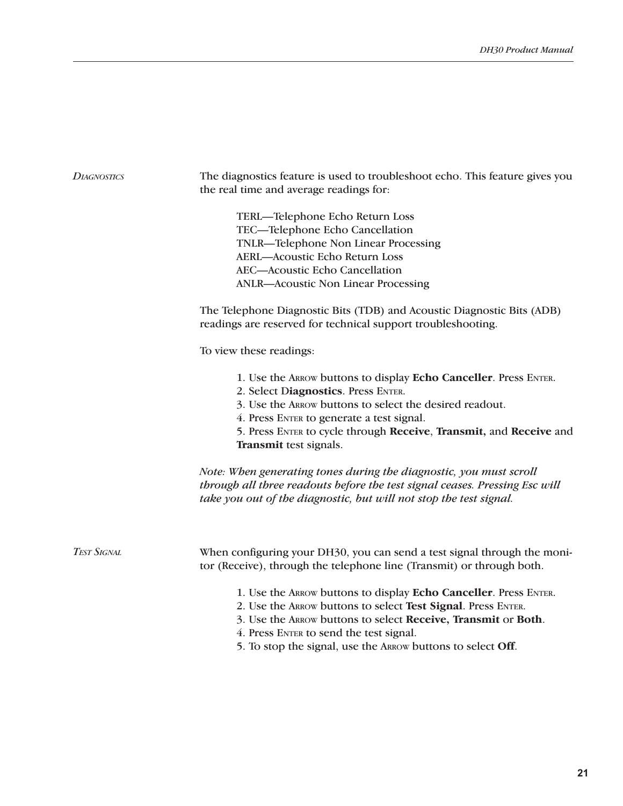| <b>DIAGNOSTICS</b> | The diagnostics feature is used to troubleshoot echo. This feature gives you<br>the real time and average readings for:                                                                                                                                                                                         |  |  |  |
|--------------------|-----------------------------------------------------------------------------------------------------------------------------------------------------------------------------------------------------------------------------------------------------------------------------------------------------------------|--|--|--|
|                    | TERL-Telephone Echo Return Loss<br>TEC-Telephone Echo Cancellation<br>TNLR-Telephone Non Linear Processing<br><b>AERL-Acoustic Echo Return Loss</b><br>AEC-Acoustic Echo Cancellation<br><b>ANLR-Acoustic Non Linear Processing</b>                                                                             |  |  |  |
|                    | The Telephone Diagnostic Bits (TDB) and Acoustic Diagnostic Bits (ADB)<br>readings are reserved for technical support troubleshooting.                                                                                                                                                                          |  |  |  |
|                    | To view these readings:                                                                                                                                                                                                                                                                                         |  |  |  |
|                    | 1. Use the ARROW buttons to display Echo Canceller. Press ENTER.<br>2. Select Diagnostics. Press ENTER.<br>3. Use the ARROW buttons to select the desired readout.<br>4. Press ENTER to generate a test signal.<br>5. Press ENTER to cycle through Receive, Transmit, and Receive and<br>Transmit test signals. |  |  |  |
|                    | Note: When generating tones during the diagnostic, you must scroll<br>through all three readouts before the test signal ceases. Pressing Esc will<br>take you out of the diagnostic, but will not stop the test signal.                                                                                         |  |  |  |
| <b>TEST SIGNAL</b> | When configuring your DH30, you can send a test signal through the moni-<br>tor (Receive), through the telephone line (Transmit) or through both.                                                                                                                                                               |  |  |  |
|                    | 1. Use the ARROW buttons to display Echo Canceller. Press ENTER.<br>2. Use the ARROW buttons to select Test Signal. Press ENTER.<br>3. Use the ARROW buttons to select Receive, Transmit or Both.<br>4. Press ENTER to send the test signal.<br>5. To stop the signal, use the ARROW buttons to select Off.     |  |  |  |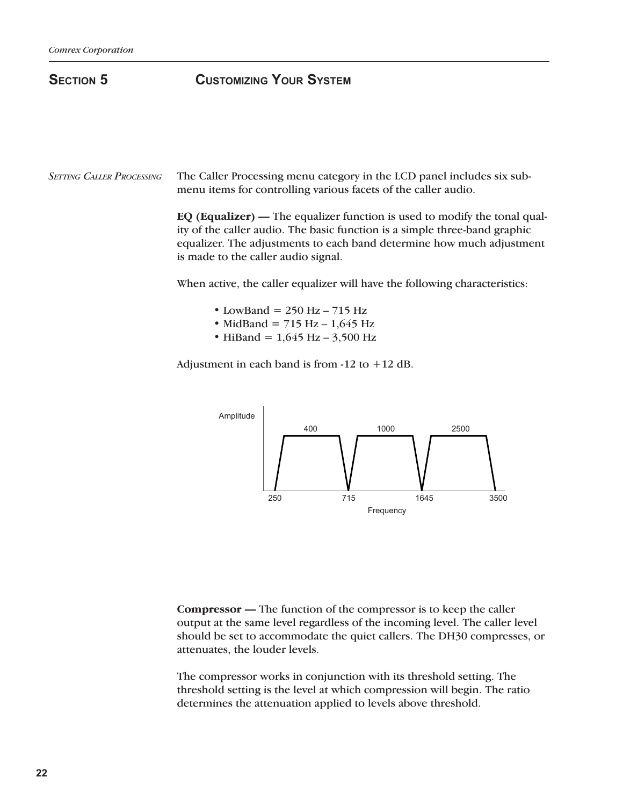# **Section 5 Customizing Your System**

The Caller Processing menu category in the LCD panel includes six submenu items for controlling various facets of the caller audio. *Setting Caller Processing*

> **EQ (Equalizer) —** The equalizer function is used to modify the tonal quality of the caller audio. The basic function is a simple three-band graphic equalizer. The adjustments to each band determine how much adjustment is made to the caller audio signal.

When active, the caller equalizer will have the following characteristics:

- LowBand =  $250$  Hz  $715$  Hz
- MidBand =  $715$  Hz  $1,645$  Hz
- HiBand =  $1,645$  Hz  $3,500$  Hz

Adjustment in each band is from  $-12$  to  $+12$  dB.



**Compressor —** The function of the compressor is to keep the caller output at the same level regardless of the incoming level. The caller level should be set to accommodate the quiet callers. The DH30 compresses, or attenuates, the louder levels.

The compressor works in conjunction with its threshold setting. The threshold setting is the level at which compression will begin. The ratio determines the attenuation applied to levels above threshold.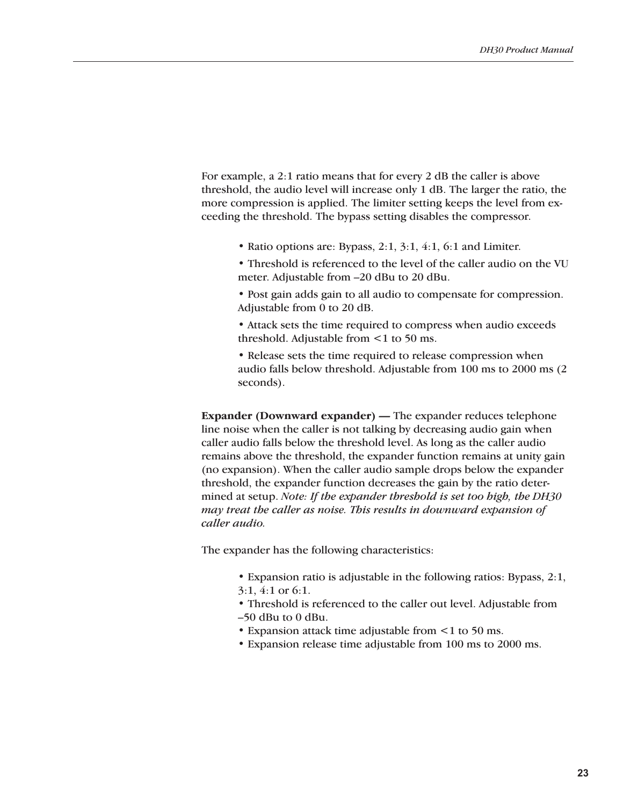For example, a 2:1 ratio means that for every 2 dB the caller is above threshold, the audio level will increase only 1 dB. The larger the ratio, the more compression is applied. The limiter setting keeps the level from exceeding the threshold. The bypass setting disables the compressor.

- Ratio options are: Bypass, 2:1, 3:1, 4:1, 6:1 and Limiter.
- Threshold is referenced to the level of the caller audio on the VU meter. Adjustable from –20 dBu to 20 dBu.
- Post gain adds gain to all audio to compensate for compression. Adjustable from 0 to 20 dB.
- Attack sets the time required to compress when audio exceeds threshold. Adjustable from <1 to 50 ms.
- Release sets the time required to release compression when audio falls below threshold. Adjustable from 100 ms to 2000 ms (2 seconds).

**Expander (Downward expander) —** The expander reduces telephone line noise when the caller is not talking by decreasing audio gain when caller audio falls below the threshold level. As long as the caller audio remains above the threshold, the expander function remains at unity gain (no expansion). When the caller audio sample drops below the expander threshold, the expander function decreases the gain by the ratio determined at setup. *Note: If the expander threshold is set too high, the DH30 may treat the caller as noise. This results in downward expansion of caller audio.*

The expander has the following characteristics:

- Expansion ratio is adjustable in the following ratios: Bypass, 2:1, 3:1, 4:1 or 6:1.
- 
- Threshold is referenced to the caller out level. Adjustable from –50 dBu to 0 dBu.
- Expansion attack time adjustable from  $\leq 1$  to 50 ms.
- Expansion release time adjustable from 100 ms to 2000 ms.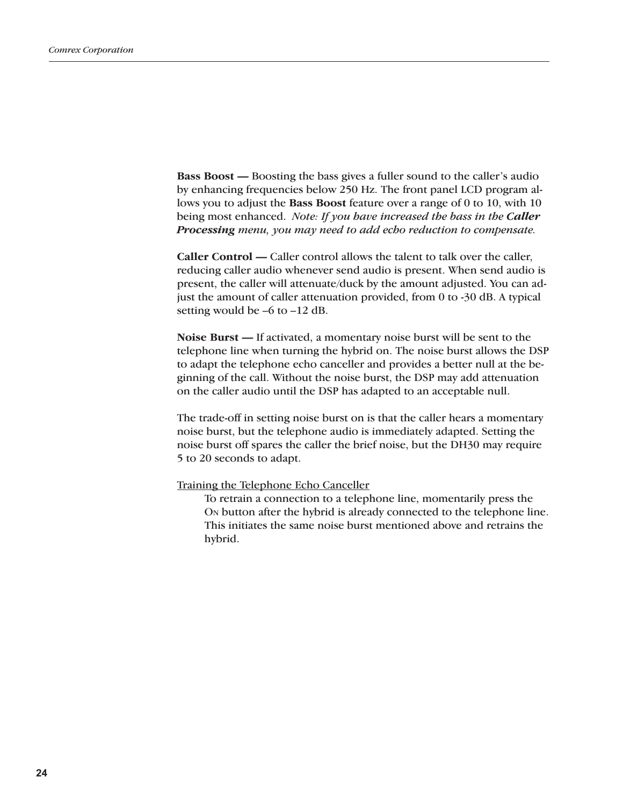**Bass Boost —** Boosting the bass gives a fuller sound to the caller's audio by enhancing frequencies below 250 Hz. The front panel LCD program allows you to adjust the **Bass Boost** feature over a range of 0 to 10, with 10 being most enhanced. *Note: If you have increased the bass in the Caller Processing menu, you may need to add echo reduction to compensate.*

**Caller Control —** Caller control allows the talent to talk over the caller, reducing caller audio whenever send audio is present. When send audio is present, the caller will attenuate/duck by the amount adjusted. You can adjust the amount of caller attenuation provided, from 0 to -30 dB. A typical setting would be –6 to –12 dB.

**Noise Burst —** If activated, a momentary noise burst will be sent to the telephone line when turning the hybrid on. The noise burst allows the DSP to adapt the telephone echo canceller and provides a better null at the beginning of the call. Without the noise burst, the DSP may add attenuation on the caller audio until the DSP has adapted to an acceptable null.

The trade-off in setting noise burst on is that the caller hears a momentary noise burst, but the telephone audio is immediately adapted. Setting the noise burst off spares the caller the brief noise, but the DH30 may require 5 to 20 seconds to adapt.

Training the Telephone Echo Canceller

To retrain a connection to a telephone line, momentarily press the On button after the hybrid is already connected to the telephone line. This initiates the same noise burst mentioned above and retrains the hybrid.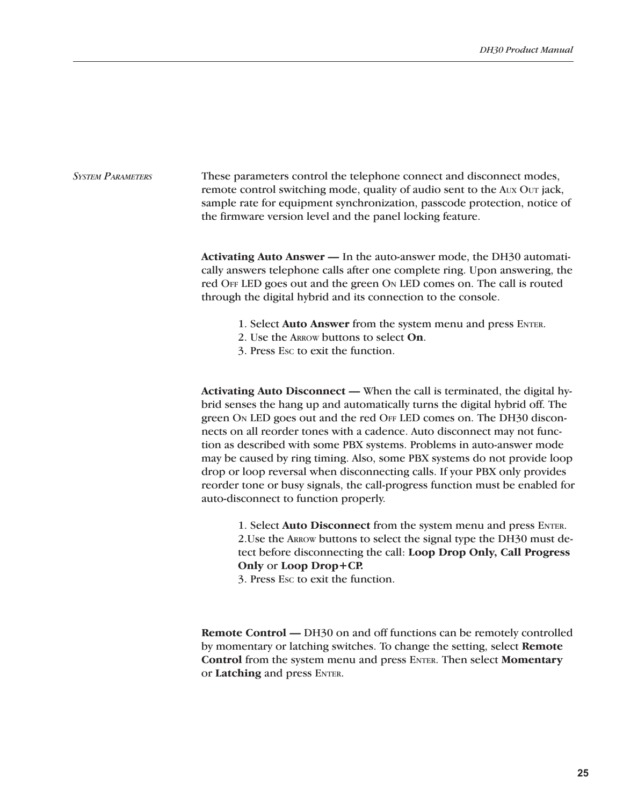### *System Parameters*

These parameters control the telephone connect and disconnect modes, remote control switching mode, quality of audio sent to the Aux Our jack, sample rate for equipment synchronization, passcode protection, notice of the firmware version level and the panel locking feature.

**Activating Auto Answer —** In the auto-answer mode, the DH30 automatically answers telephone calls after one complete ring. Upon answering, the red Off LED goes out and the green On LED comes on. The call is routed through the digital hybrid and its connection to the console.

- 1. Select **Auto Answer** from the system menu and press Enter.
- 2. Use the Arrow buttons to select **On**.
- 3. Press Esc to exit the function.

**Activating Auto Disconnect —** When the call is terminated, the digital hybrid senses the hang up and automatically turns the digital hybrid off. The green On LED goes out and the red Off LED comes on. The DH30 disconnects on all reorder tones with a cadence. Auto disconnect may not function as described with some PBX systems. Problems in auto-answer mode may be caused by ring timing. Also, some PBX systems do not provide loop drop or loop reversal when disconnecting calls. If your PBX only provides reorder tone or busy signals, the call-progress function must be enabled for auto-disconnect to function properly.

1. Select **Auto Disconnect** from the system menu and press Enter. 2.Use the Arrow buttons to select the signal type the DH30 must detect before disconnecting the call: **Loop Drop Only, Call Progress Only** or **Loop Drop+CP.** 

3. Press Esc to exit the function.

**Remote Control —** DH30 on and off functions can be remotely controlled by momentary or latching switches. To change the setting, select **Remote Control** from the system menu and press Enter. Then select **Momentary** or **Latching** and press ENTER.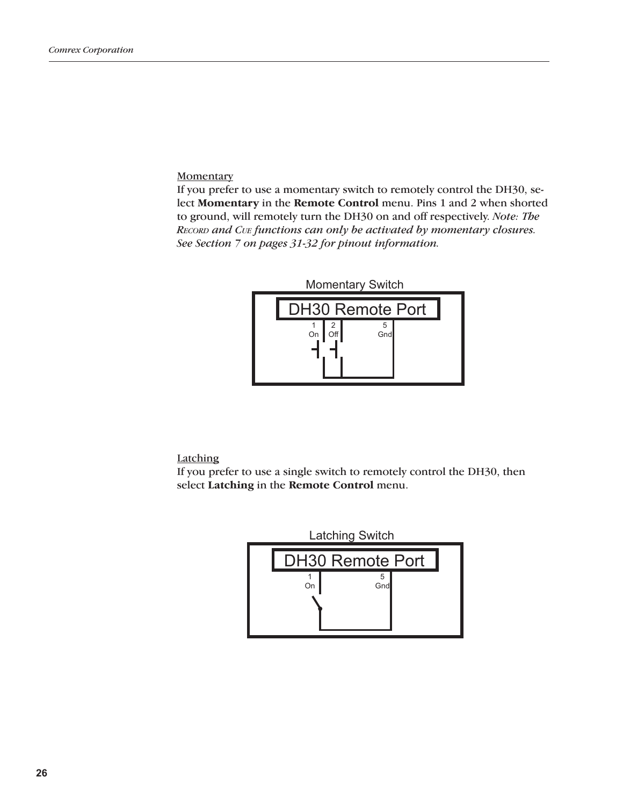#### **Momentary**

If you prefer to use a momentary switch to remotely control the DH30, select **Momentary** in the **Remote Control** menu. Pins 1 and 2 when shorted to ground, will remotely turn the DH30 on and off respectively. *Note: The Record and Cue functions can only be activated by momentary closures. See Section 7 on pages 31-32 for pinout information.*



**Latching** 

If you prefer to use a single switch to remotely control the DH30, then select **Latching** in the **Remote Control** menu.

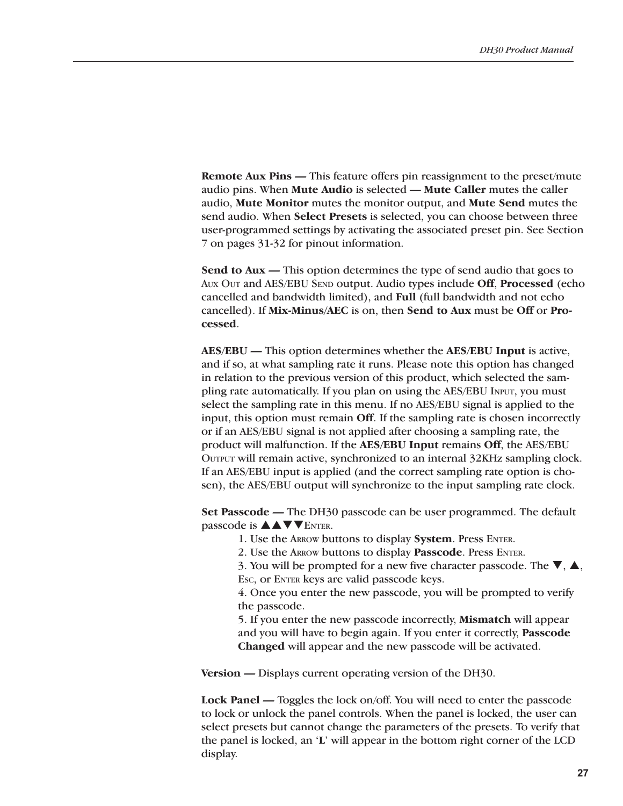**Remote Aux Pins —** This feature offers pin reassignment to the preset/mute audio pins. When **Mute Audio** is selected — **Mute Caller** mutes the caller audio, **Mute Monitor** mutes the monitor output, and **Mute Send** mutes the send audio. When **Select Presets** is selected, you can choose between three user-programmed settings by activating the associated preset pin. See Section 7 on pages 31-32 for pinout information.

**Send to Aux —** This option determines the type of send audio that goes to Aux Out and AES/EBU Send output. Audio types include **Off**, **Processed** (echo cancelled and bandwidth limited), and **Full** (full bandwidth and not echo cancelled). If **Mix-Minus/AEC** is on, then **Send to Aux** must be **Off** or **Processed**.

**AES/EBU —** This option determines whether the **AES/EBU Input** is active, and if so, at what sampling rate it runs. Please note this option has changed in relation to the previous version of this product, which selected the sampling rate automatically. If you plan on using the AES/EBU INPUT, you must select the sampling rate in this menu. If no AES/EBU signal is applied to the input, this option must remain **Off**. If the sampling rate is chosen incorrectly or if an AES/EBU signal is not applied after choosing a sampling rate, the product will malfunction. If the **AES/EBU Input** remains **Off**, the AES/EBU Output will remain active, synchronized to an internal 32KHz sampling clock. If an AES/EBU input is applied (and the correct sampling rate option is chosen), the AES/EBU output will synchronize to the input sampling rate clock.

**Set Passcode —** The DH30 passcode can be user programmed. The default passcode is  $\triangle \triangle \blacktriangledown$  ENTER.

1. Use the Arrow buttons to display **System**. Press Enter.

2. Use the Arrow buttons to display **Passcode**. Press Enter.

3. You will be prompted for a new five character passcode. The  $\nabla$ ,  $\blacktriangle$ , Esc, or ENTER keys are valid passcode keys.

4. Once you enter the new passcode, you will be prompted to verify the passcode.

5. If you enter the new passcode incorrectly, **Mismatch** will appear and you will have to begin again. If you enter it correctly, **Passcode Changed** will appear and the new passcode will be activated.

**Version —** Displays current operating version of the DH30.

**Lock Panel —** Toggles the lock on/off. You will need to enter the passcode to lock or unlock the panel controls. When the panel is locked, the user can select presets but cannot change the parameters of the presets. To verify that the panel is locked, an '**L**' will appear in the bottom right corner of the LCD display.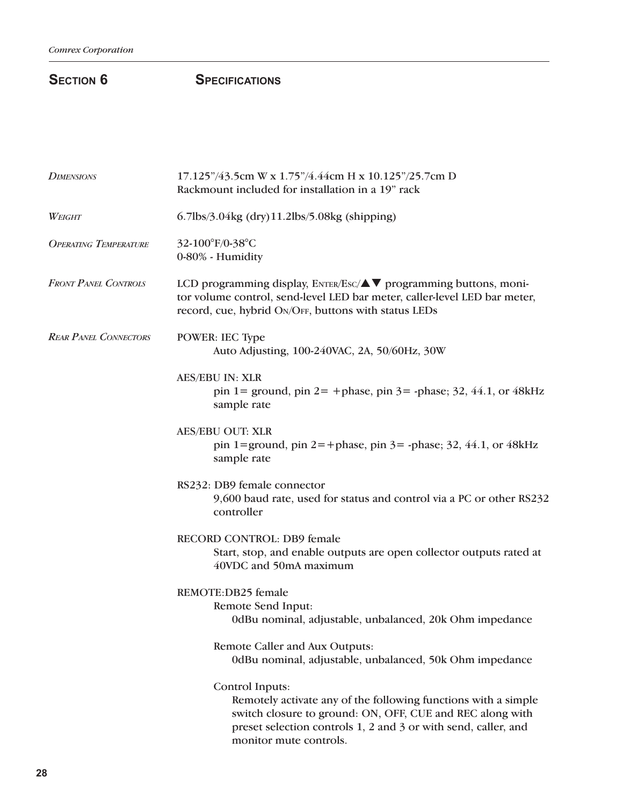# **SECTION 6** SPECIFICATIONS

| <b>DIMENSIONS</b>            | 17.125"/43.5cm W x 1.75"/4.44cm H x 10.125"/25.7cm D<br>Rackmount included for installation in a 19" rack                                                                                                                                  |
|------------------------------|--------------------------------------------------------------------------------------------------------------------------------------------------------------------------------------------------------------------------------------------|
| WEIGHT                       | 6.7lbs/3.04kg (dry)11.2lbs/5.08kg (shipping)                                                                                                                                                                                               |
| <b>OPERATING TEMPERATURE</b> | 32-100°F/0-38°C<br>0-80% - Humidity                                                                                                                                                                                                        |
| <b>FRONT PANEL CONTROLS</b>  | LCD programming display, ENTER/Esc/▲▼ programming buttons, moni-<br>tor volume control, send-level LED bar meter, caller-level LED bar meter,<br>record, cue, hybrid ON/OFF, buttons with status LEDs                                      |
| <b>REAR PANEL CONNECTORS</b> | POWER: IEC Type<br>Auto Adjusting, 100-240VAC, 2A, 50/60Hz, 30W                                                                                                                                                                            |
|                              | <b>AES/EBU IN: XLR</b><br>pin 1 = ground, pin 2 = + phase, pin 3 = - phase; 32, 44.1, or 48 kHz<br>sample rate                                                                                                                             |
|                              | <b>AES/EBU OUT: XLR</b><br>pin 1=ground, pin 2=+phase, pin 3=-phase; 32, 44.1, or 48kHz<br>sample rate                                                                                                                                     |
|                              | RS232: DB9 female connector<br>9,600 baud rate, used for status and control via a PC or other RS232<br>controller                                                                                                                          |
|                              | RECORD CONTROL: DB9 female<br>Start, stop, and enable outputs are open collector outputs rated at<br>40VDC and 50mA maximum                                                                                                                |
|                              | REMOTE:DB25 female<br>Remote Send Input:<br>0dBu nominal, adjustable, unbalanced, 20k Ohm impedance                                                                                                                                        |
|                              | Remote Caller and Aux Outputs:<br>0dBu nominal, adjustable, unbalanced, 50k Ohm impedance                                                                                                                                                  |
|                              | Control Inputs:<br>Remotely activate any of the following functions with a simple<br>switch closure to ground: ON, OFF, CUE and REC along with<br>preset selection controls 1, 2 and 3 or with send, caller, and<br>monitor mute controls. |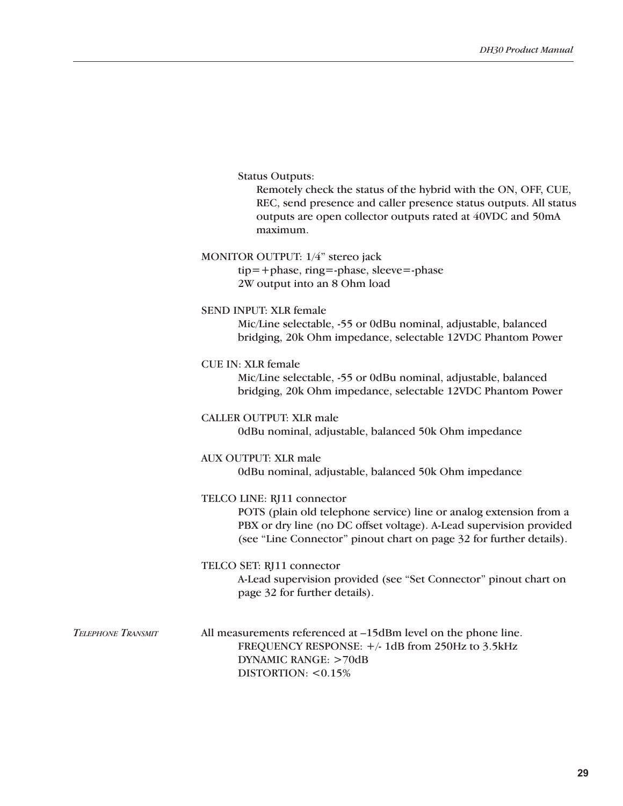|  | <b>Status Outputs:</b> |
|--|------------------------|
|--|------------------------|

Remotely check the status of the hybrid with the ON, OFF, CUE, REC, send presence and caller presence status outputs. All status outputs are open collector outputs rated at 40VDC and 50mA maximum.

| MONITOR OUTPUT: 1/4" stereo jack |  |  |
|----------------------------------|--|--|
|----------------------------------|--|--|

tip=+phase, ring=-phase, sleeve=-phase 2W output into an 8 Ohm load

SEND INPUT: XLR female

Mic/Line selectable, -55 or 0dBu nominal, adjustable, balanced bridging, 20k Ohm impedance, selectable 12VDC Phantom Power

#### CUE IN: XLR female

Mic/Line selectable, -55 or 0dBu nominal, adjustable, balanced bridging, 20k Ohm impedance, selectable 12VDC Phantom Power

#### CALLER OUTPUT: XLR male

0dBu nominal, adjustable, balanced 50k Ohm impedance

### AUX OUTPUT: XLR male

0dBu nominal, adjustable, balanced 50k Ohm impedance

### TELCO LINE: RJ11 connector

POTS (plain old telephone service) line or analog extension from a PBX or dry line (no DC offset voltage). A-Lead supervision provided (see "Line Connector" pinout chart on page 32 for further details).

TELCO SET: RJ11 connector A-Lead supervision provided (see "Set Connector" pinout chart on page 32 for further details).

All measurements referenced at –15dBm level on the phone line. FREQUENCY RESPONSE:  $+/- 1dB$  from 250Hz to 3.5kHz DYNAMIC RANGE: >70dB DISTORTION: <0.15% *Telephone Transmit*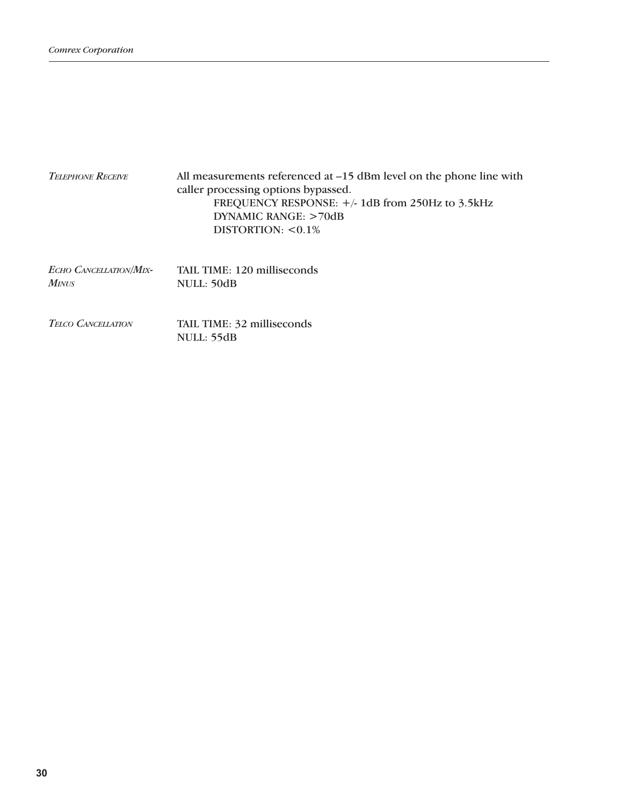| <b>TELEPHONE RECEIVE</b>                      | All measurements referenced at $-15$ dBm level on the phone line with<br>caller processing options bypassed.<br>FREQUENCY RESPONSE: $+/- 1dB$ from 250Hz to 3.5kHz<br>DYNAMIC RANGE: >70dB<br>DISTORTION: $< 0.1\%$ |
|-----------------------------------------------|---------------------------------------------------------------------------------------------------------------------------------------------------------------------------------------------------------------------|
| <b>ECHO CANCELLATION/MIX-</b><br><b>MINUS</b> | TAIL TIME: 120 milliseconds<br>NULL: 50dB                                                                                                                                                                           |
| <b>TELCO CANCELLATION</b>                     | TAIL TIME: 32 milliseconds<br>NULL: 55dB                                                                                                                                                                            |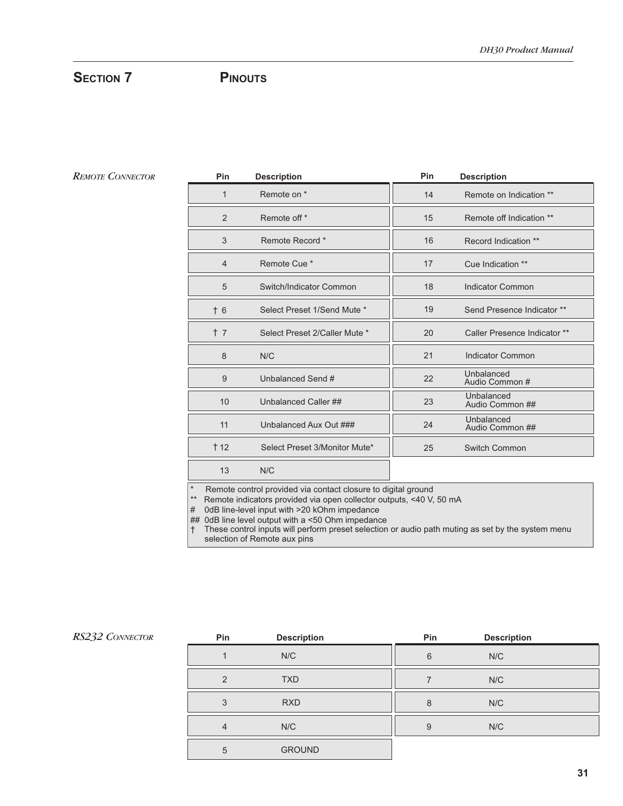# Section 7 PINOUTS

#### *Remote Connector*

| Pin  | <b>Description</b>            | Pin | <b>Description</b>            |
|------|-------------------------------|-----|-------------------------------|
| 1    | Remote on *                   | 14  | Remote on Indication **       |
| 2    | Remote off *                  | 15  | Remote off Indication **      |
| 3    | Remote Record *               | 16  | Record Indication **          |
| 4    | Remote Cue <sup>*</sup>       | 17  | Cue Indication **             |
| 5    | Switch/Indicator Common       | 18  | Indicator Common              |
| $+6$ | Select Preset 1/Send Mute *   | 19  | Send Presence Indicator **    |
| $+7$ | Select Preset 2/Caller Mute * | 20  | Caller Presence Indicator **  |
| 8    | N/C                           | 21  | <b>Indicator Common</b>       |
| 9    | Unbalanced Send #             | 22  | Unbalanced<br>Audio Common #  |
| 10   | Unbalanced Caller ##          | 23  | Unbalanced<br>Audio Common ## |
| 11   | Unbalanced Aux Out ###        | 24  | Unbalanced<br>Audio Common ## |
| † 12 | Select Preset 3/Monitor Mute* | 25  | Switch Common                 |
| 13   | N/C                           |     |                               |

\* Remote control provided via contact closure to digital ground

\*\* Remote indicators provided via open collector outputs, <40 V, 50 mA

# 0dB line-level input with >20 kOhm impedance

## 0dB line level output with a <50 Ohm impedance

 † These control inputs will perform preset selection or audio path muting as set by the system menu selection of Remote aux pins

| Pin           | <b>Description</b> | Pin | <b>Description</b> |  |
|---------------|--------------------|-----|--------------------|--|
|               | N/C                | 6   | N/C                |  |
| $\mathcal{P}$ | <b>TXD</b>         |     | N/C                |  |
| 3             | <b>RXD</b>         | 8   | N/C                |  |
| 4             | N/C                | 9   | N/C                |  |
| 5             | <b>GROUND</b>      |     |                    |  |

#### *RS232 Connector*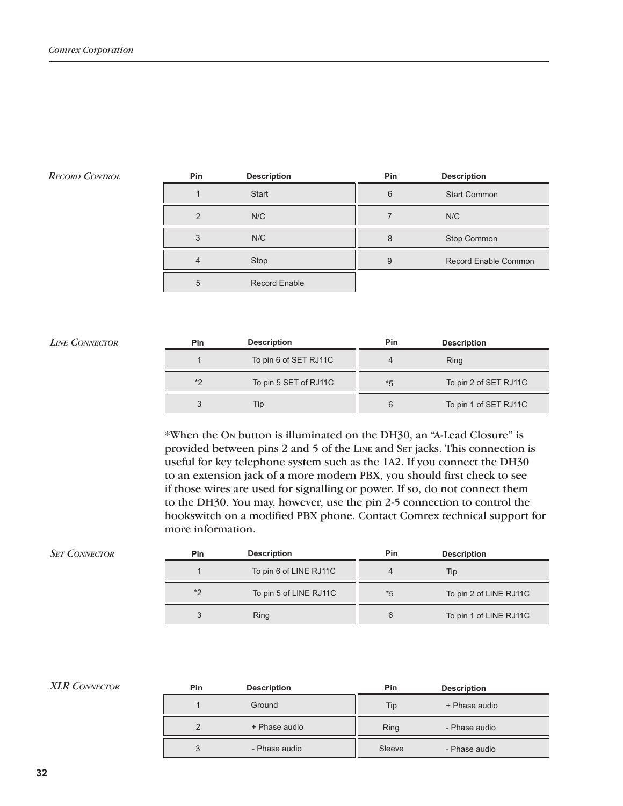### *Record Control*

| Pin            | <b>Description</b>   | Pin | <b>Description</b>          |
|----------------|----------------------|-----|-----------------------------|
|                | <b>Start</b>         | 6   | <b>Start Common</b>         |
| $\mathcal{P}$  | N/C                  |     | N/C                         |
| 3              | N/C                  | 8   | Stop Common                 |
| $\overline{4}$ | Stop                 | 9   | <b>Record Enable Common</b> |
| 5              | <b>Record Enable</b> |     |                             |

#### *Line Connector*

| Pin | <b>Description</b>    | Pin  | <b>Description</b>    |
|-----|-----------------------|------|-----------------------|
|     | To pin 6 of SET RJ11C |      | Ring                  |
| $*$ | To pin 5 SET of RJ11C | $*5$ | To pin 2 of SET RJ11C |
|     | Tip                   |      | To pin 1 of SET RJ11C |

\*When the On button is illuminated on the DH30, an "A-Lead Closure" is provided between pins 2 and 5 of the LINE and SET jacks. This connection is useful for key telephone system such as the 1A2. If you connect the DH30 to an extension jack of a more modern PBX, you should first check to see if those wires are used for signalling or power. If so, do not connect them to the DH30. You may, however, use the pin 2-5 connection to control the hookswitch on a modified PBX phone. Contact Comrex technical support for more information.

| Pin     | <b>Description</b>     | Pin  | <b>Description</b>     |
|---------|------------------------|------|------------------------|
|         | To pin 6 of LINE RJ11C |      | Tip                    |
| $*_{2}$ | To pin 5 of LINE RJ11C | $*5$ | To pin 2 of LINE RJ11C |
|         | <b>Ring</b>            |      | To pin 1 of LINE RJ11C |

#### **XLR** CONNECTOR

*Set Connector*

| <b>Pin</b> | <b>Description</b> | <b>Pin</b> | <b>Description</b> |
|------------|--------------------|------------|--------------------|
|            | Ground             | Tip        | + Phase audio      |
|            | + Phase audio      | Ring       | - Phase audio      |
| 3          | - Phase audio      | Sleeve     | - Phase audio      |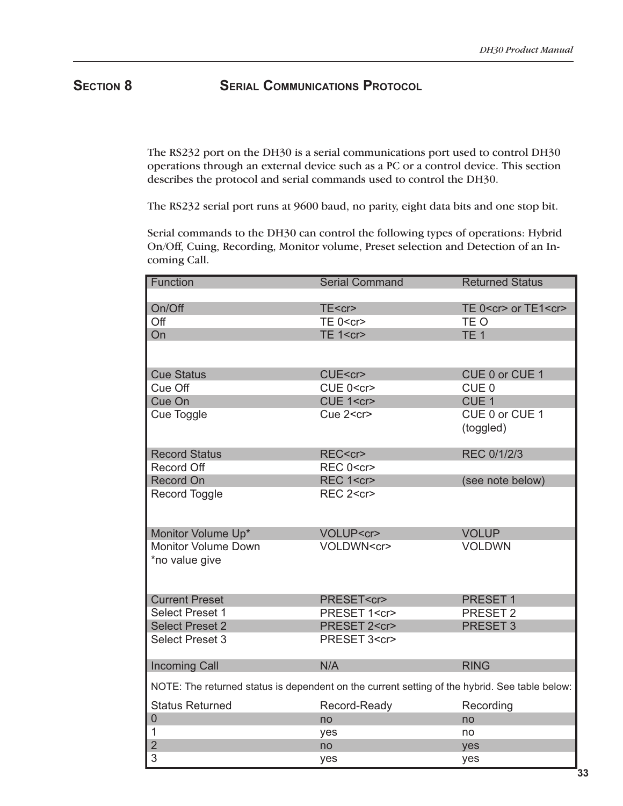**SECTION 8 SERIAL COMMUNICATIONS PROTOCOL** 

The RS232 port on the DH30 is a serial communications port used to control DH30 operations through an external device such as a PC or a control device. This section describes the protocol and serial commands used to control the DH30.

The RS232 serial port runs at 9600 baud, no parity, eight data bits and one stop bit.

Serial commands to the DH30 can control the following types of operations: Hybrid On/Off, Cuing, Recording, Monitor volume, Preset selection and Detection of an Incoming Call.

| <b>Function</b>                                                                               | <b>Serial Command</b> | <b>Returned Status</b>         |
|-----------------------------------------------------------------------------------------------|-----------------------|--------------------------------|
|                                                                                               |                       |                                |
| On/Off                                                                                        | TE <cr></cr>          | TE 0 <cr> or TE1<cr></cr></cr> |
| Off                                                                                           | TE 0 <cr></cr>        | TE O                           |
| On                                                                                            | <b>TE 1<cr></cr></b>  | TE <sub>1</sub>                |
|                                                                                               |                       |                                |
|                                                                                               |                       |                                |
| <b>Cue Status</b>                                                                             | CUE <cr></cr>         | CUE 0 or CUE 1                 |
| Cue Off                                                                                       | CUE 0 <cr></cr>       | CUE <sub>0</sub>               |
| Cue On                                                                                        | CUE 1 <cr></cr>       | CUE <sub>1</sub>               |
| Cue Toggle                                                                                    | Cue 2 <cr></cr>       | CUE 0 or CUE 1                 |
|                                                                                               |                       | (toggled)                      |
|                                                                                               |                       |                                |
| <b>Record Status</b>                                                                          | REC <cr></cr>         | REC 0/1/2/3                    |
| <b>Record Off</b>                                                                             | REC 0 <cr></cr>       |                                |
| <b>Record On</b>                                                                              | REC 1 <cr></cr>       | (see note below)               |
| Record Toggle                                                                                 | REC 2 <cr></cr>       |                                |
|                                                                                               |                       |                                |
|                                                                                               |                       |                                |
| Monitor Volume Up*                                                                            | VOLUP <cr></cr>       | <b>VOLUP</b>                   |
| <b>Monitor Volume Down</b>                                                                    | VOLDWN <cr></cr>      | <b>VOLDWN</b>                  |
| *no value give                                                                                |                       |                                |
|                                                                                               |                       |                                |
|                                                                                               |                       |                                |
| <b>Current Preset</b>                                                                         | PRESET <cr></cr>      | PRESET 1                       |
| <b>Select Preset 1</b>                                                                        | PRESET 1 <cr></cr>    | PRESET <sub>2</sub>            |
| <b>Select Preset 2</b>                                                                        | PRESET 2 <cr></cr>    | PRESET <sub>3</sub>            |
| <b>Select Preset 3</b>                                                                        | PRESET 3 <cr></cr>    |                                |
|                                                                                               |                       |                                |
| <b>Incoming Call</b>                                                                          | N/A                   | <b>RING</b>                    |
|                                                                                               |                       |                                |
| NOTE: The returned status is dependent on the current setting of the hybrid. See table below: |                       |                                |
| <b>Status Returned</b>                                                                        | Record-Ready          | Recording                      |
| $\overline{0}$                                                                                | no                    | no                             |
| 1                                                                                             | yes                   | no                             |
| $\overline{2}$                                                                                | no                    | yes                            |
| 3                                                                                             | yes                   | yes                            |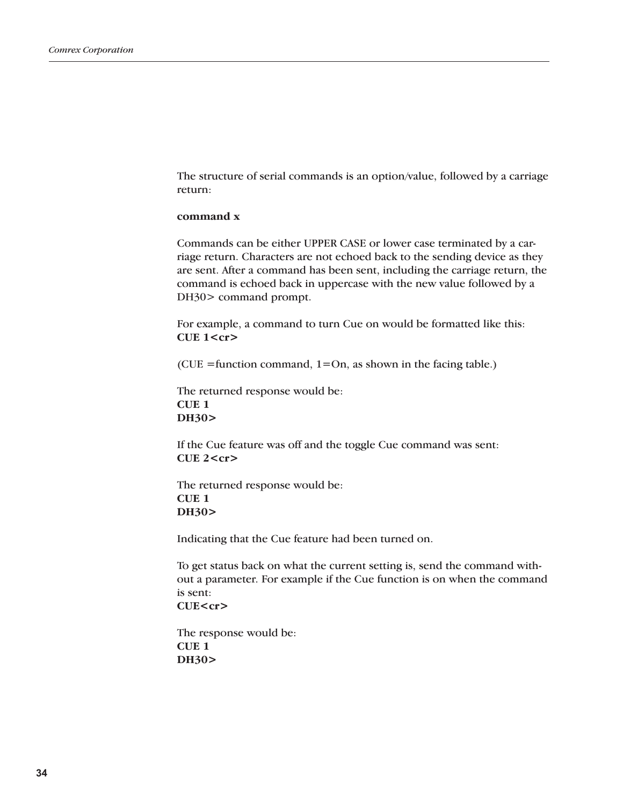The structure of serial commands is an option/value, followed by a carriage return:

#### **command x**

Commands can be either UPPER CASE or lower case terminated by a carriage return. Characters are not echoed back to the sending device as they are sent. After a command has been sent, including the carriage return, the command is echoed back in uppercase with the new value followed by a DH30> command prompt.

For example, a command to turn Cue on would be formatted like this: **CUE 1<cr>**

(CUE = function command,  $1=On$ , as shown in the facing table.)

The returned response would be: **CUE 1 DH30>**

If the Cue feature was off and the toggle Cue command was sent: **CUE 2<cr>**

The returned response would be: **CUE 1 DH30>**

Indicating that the Cue feature had been turned on.

To get status back on what the current setting is, send the command without a parameter. For example if the Cue function is on when the command is sent: **CUE<cr>**

The response would be: **CUE 1 DH30>**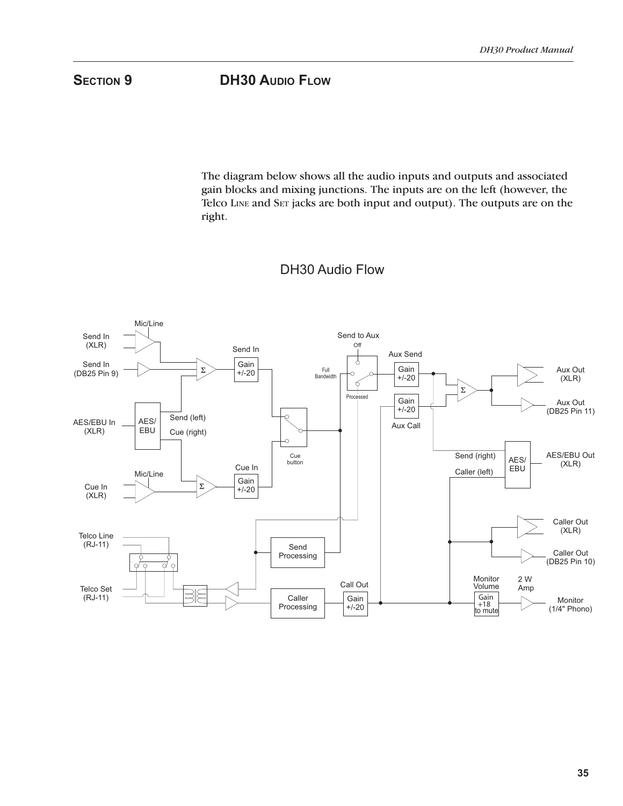**SECTION 9 DH30 AUDIO FLOW** 

The diagram below shows all the audio inputs and outputs and associated gain blocks and mixing junctions. The inputs are on the left (however, the Telco LINE and SET jacks are both input and output). The outputs are on the right.



# DH30 Audio Flow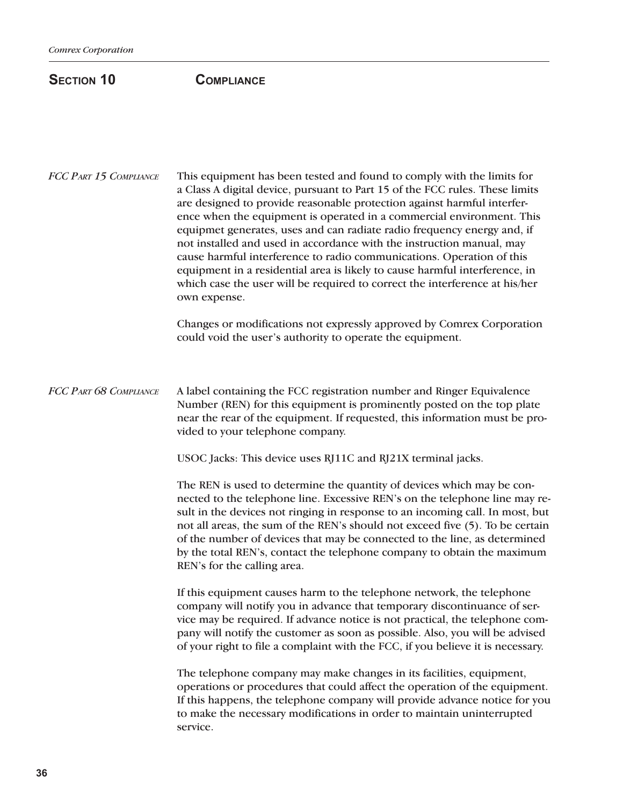# SECTION 10 **COMPLIANCE**

This equipment has been tested and found to comply with the limits for a Class A digital device, pursuant to Part 15 of the FCC rules. These limits are designed to provide reasonable protection against harmful interference when the equipment is operated in a commercial environment. This equipmet generates, uses and can radiate radio frequency energy and, if not installed and used in accordance with the instruction manual, may cause harmful interference to radio communications. Operation of this equipment in a residential area is likely to cause harmful interference, in which case the user will be required to correct the interference at his/her own expense. *FCC Part 15 Compliance*

> Changes or modifications not expressly approved by Comrex Corporation could void the user's authority to operate the equipment.

A label containing the FCC registration number and Ringer Equivalence Number (REN) for this equipment is prominently posted on the top plate near the rear of the equipment. If requested, this information must be provided to your telephone company. *FCC Part 68 Compliance*

USOC Jacks: This device uses RJ11C and RJ21X terminal jacks.

The REN is used to determine the quantity of devices which may be connected to the telephone line. Excessive REN's on the telephone line may result in the devices not ringing in response to an incoming call. In most, but not all areas, the sum of the REN's should not exceed five (5). To be certain of the number of devices that may be connected to the line, as determined by the total REN's, contact the telephone company to obtain the maximum REN's for the calling area.

If this equipment causes harm to the telephone network, the telephone company will notify you in advance that temporary discontinuance of service may be required. If advance notice is not practical, the telephone company will notify the customer as soon as possible. Also, you will be advised of your right to file a complaint with the FCC, if you believe it is necessary.

The telephone company may make changes in its facilities, equipment, operations or procedures that could affect the operation of the equipment. If this happens, the telephone company will provide advance notice for you to make the necessary modifications in order to maintain uninterrupted service.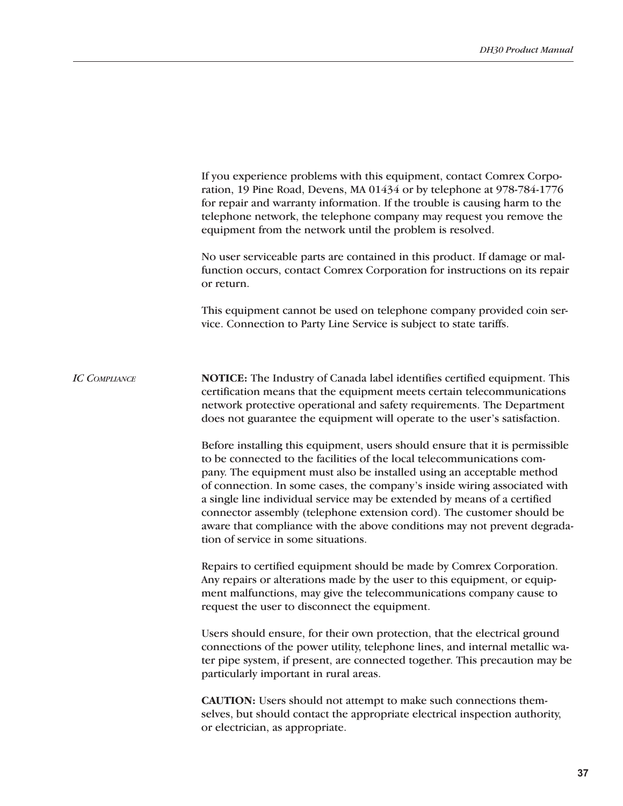|                      | If you experience problems with this equipment, contact Comrex Corpo-<br>ration, 19 Pine Road, Devens, MA 01434 or by telephone at 978-784-1776<br>for repair and warranty information. If the trouble is causing harm to the<br>telephone network, the telephone company may request you remove the<br>equipment from the network until the problem is resolved.<br>No user serviceable parts are contained in this product. If damage or mal-<br>function occurs, contact Comrex Corporation for instructions on its repair<br>or return.<br>This equipment cannot be used on telephone company provided coin ser-<br>vice. Connection to Party Line Service is subject to state tariffs.                                                                                                                                                                                                         |
|----------------------|-----------------------------------------------------------------------------------------------------------------------------------------------------------------------------------------------------------------------------------------------------------------------------------------------------------------------------------------------------------------------------------------------------------------------------------------------------------------------------------------------------------------------------------------------------------------------------------------------------------------------------------------------------------------------------------------------------------------------------------------------------------------------------------------------------------------------------------------------------------------------------------------------------|
| <b>IC COMPLIANCE</b> | NOTICE: The Industry of Canada label identifies certified equipment. This<br>certification means that the equipment meets certain telecommunications<br>network protective operational and safety requirements. The Department<br>does not guarantee the equipment will operate to the user's satisfaction.<br>Before installing this equipment, users should ensure that it is permissible<br>to be connected to the facilities of the local telecommunications com-<br>pany. The equipment must also be installed using an acceptable method<br>of connection. In some cases, the company's inside wiring associated with<br>a single line individual service may be extended by means of a certified<br>connector assembly (telephone extension cord). The customer should be<br>aware that compliance with the above conditions may not prevent degrada-<br>tion of service in some situations. |
|                      | Repairs to certified equipment should be made by Comrex Corporation.<br>Any repairs or alterations made by the user to this equipment, or equip-<br>ment malfunctions, may give the telecommunications company cause to<br>request the user to disconnect the equipment.                                                                                                                                                                                                                                                                                                                                                                                                                                                                                                                                                                                                                            |
|                      | Users should ensure, for their own protection, that the electrical ground<br>connections of the power utility, telephone lines, and internal metallic wa-<br>ter pipe system, if present, are connected together. This precaution may be<br>particularly important in rural areas.                                                                                                                                                                                                                                                                                                                                                                                                                                                                                                                                                                                                                  |
|                      | <b>CAUTION:</b> Users should not attempt to make such connections them-<br>selves, but should contact the appropriate electrical inspection authority,<br>or electrician, as appropriate.                                                                                                                                                                                                                                                                                                                                                                                                                                                                                                                                                                                                                                                                                                           |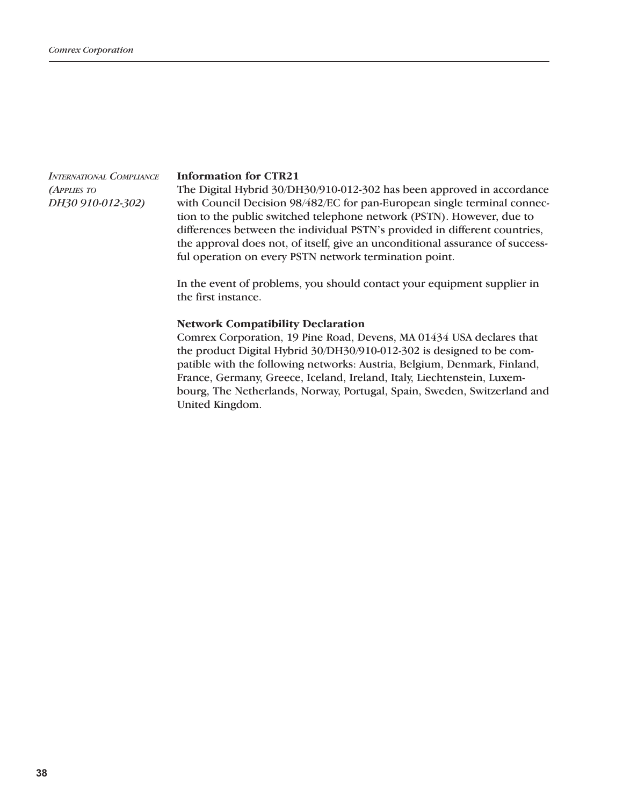*International Compliance (Applies to DH30 910-012-302)*

#### **Information for CTR21**

The Digital Hybrid 30/DH30/910-012-302 has been approved in accordance with Council Decision 98/482/EC for pan-European single terminal connection to the public switched telephone network (PSTN). However, due to differences between the individual PSTN's provided in different countries, the approval does not, of itself, give an unconditional assurance of successful operation on every PSTN network termination point.

In the event of problems, you should contact your equipment supplier in the first instance.

#### **Network Compatibility Declaration**

Comrex Corporation, 19 Pine Road, Devens, MA 01434 USA declares that the product Digital Hybrid 30/DH30/910-012-302 is designed to be compatible with the following networks: Austria, Belgium, Denmark, Finland, France, Germany, Greece, Iceland, Ireland, Italy, Liechtenstein, Luxembourg, The Netherlands, Norway, Portugal, Spain, Sweden, Switzerland and United Kingdom.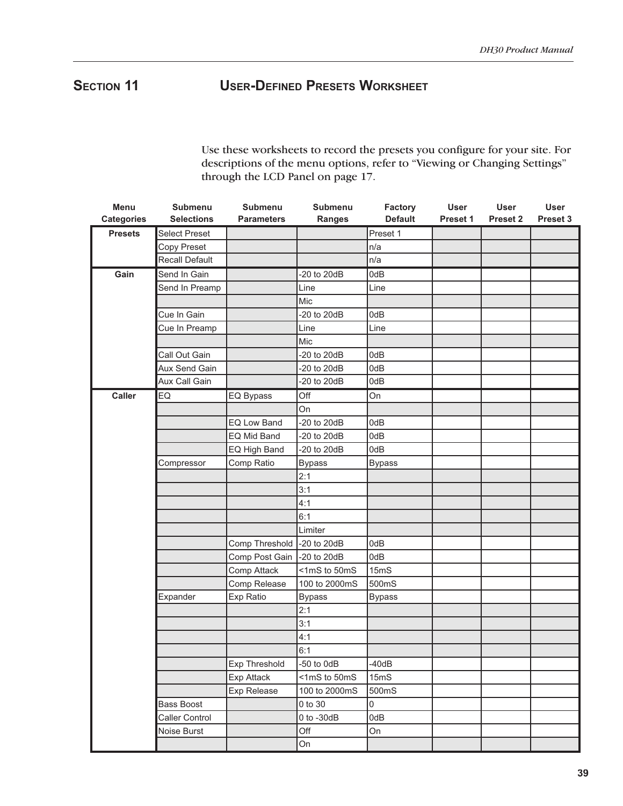# **Section 11 User-Defined Presets Worksheet**

Use these worksheets to record the presets you configure for your site. For descriptions of the menu options, refer to "Viewing or Changing Settings" through the LCD Panel on page 17.

| Menu              | Submenu               | Submenu            | <b>Submenu</b>  | Factory             | <b>User</b> | <b>User</b> | <b>User</b> |
|-------------------|-----------------------|--------------------|-----------------|---------------------|-------------|-------------|-------------|
| <b>Categories</b> | <b>Selections</b>     | <b>Parameters</b>  | <b>Ranges</b>   | <b>Default</b>      | Preset 1    | Preset 2    | Preset 3    |
| <b>Presets</b>    | <b>Select Preset</b>  |                    |                 | Preset 1            |             |             |             |
|                   | Copy Preset           |                    |                 | n/a                 |             |             |             |
|                   | <b>Recall Default</b> |                    |                 | n/a                 |             |             |             |
| Gain              | Send In Gain          |                    | -20 to 20dB     | 0dB                 |             |             |             |
|                   | Send In Preamp        |                    | Line            | Line                |             |             |             |
|                   |                       |                    | Mic             |                     |             |             |             |
|                   | Cue In Gain           |                    | $-20$ to $20dB$ | 0dB                 |             |             |             |
|                   | Cue In Preamp         |                    | Line            | Line                |             |             |             |
|                   |                       |                    | Mic             |                     |             |             |             |
|                   | Call Out Gain         |                    | $-20$ to $20dB$ | 0dB                 |             |             |             |
|                   | Aux Send Gain         |                    | $-20$ to $20dB$ | 0dB                 |             |             |             |
|                   | Aux Call Gain         |                    | -20 to 20dB     | 0dB                 |             |             |             |
| <b>Caller</b>     | EQ                    | EQ Bypass          | Off             | On                  |             |             |             |
|                   |                       |                    | On              |                     |             |             |             |
|                   |                       | <b>EQ Low Band</b> | $-20$ to $20dB$ | 0dB                 |             |             |             |
|                   |                       | EQ Mid Band        | $-20$ to $20dB$ | 0dB                 |             |             |             |
|                   |                       | EQ High Band       | $-20$ to $20dB$ | 0dB                 |             |             |             |
|                   | Compressor            | Comp Ratio         | <b>Bypass</b>   | <b>Bypass</b>       |             |             |             |
|                   |                       |                    | 2:1             |                     |             |             |             |
|                   |                       |                    | 3:1             |                     |             |             |             |
|                   |                       |                    | 4:1             |                     |             |             |             |
|                   |                       |                    | 6:1             |                     |             |             |             |
|                   |                       |                    | Limiter         |                     |             |             |             |
|                   |                       | Comp Threshold     | -20 to 20dB     | 0dB                 |             |             |             |
|                   |                       | Comp Post Gain     | -20 to 20dB     | 0dB                 |             |             |             |
|                   |                       | Comp Attack        | <1mS to 50mS    | 15mS                |             |             |             |
|                   |                       | Comp Release       | 100 to 2000mS   | 500mS               |             |             |             |
|                   | Expander              | Exp Ratio          | <b>Bypass</b>   | <b>Bypass</b>       |             |             |             |
|                   |                       |                    | 2:1             |                     |             |             |             |
|                   |                       |                    | 3:1             |                     |             |             |             |
|                   |                       |                    | 4:1             |                     |             |             |             |
|                   |                       |                    | 6:1             |                     |             |             |             |
|                   |                       | Exp Threshold      | $-50$ to $0dB$  | $-40dB$             |             |             |             |
|                   |                       | Exp Attack         | <1mS to 50mS    | 15mS                |             |             |             |
|                   |                       | Exp Release        | 100 to 2000mS   | 500mS               |             |             |             |
|                   | <b>Bass Boost</b>     |                    | 0 to 30         | $\mathsf{O}\xspace$ |             |             |             |
|                   | Caller Control        |                    | 0 to -30dB      | 0dB                 |             |             |             |
|                   | Noise Burst           |                    | Off             | On                  |             |             |             |
|                   |                       |                    | On              |                     |             |             |             |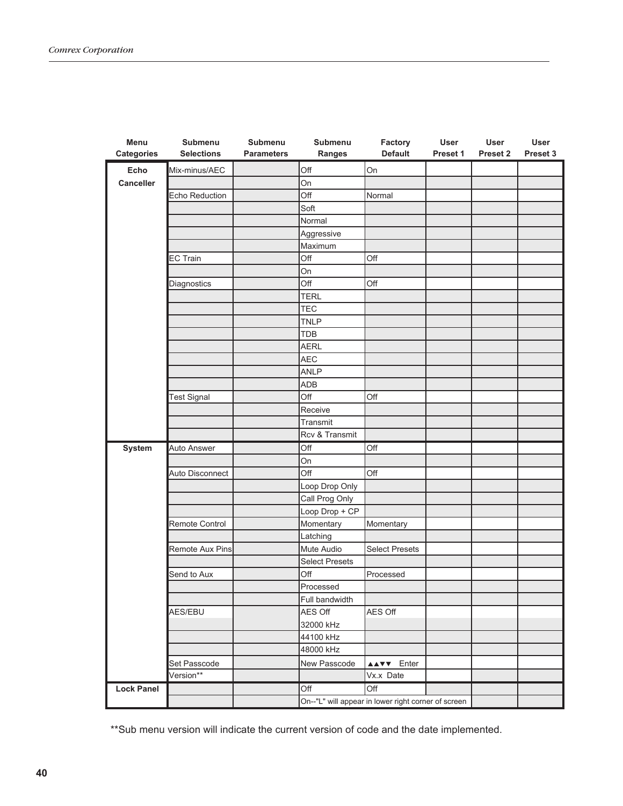| Menu              | <b>Submenu</b>     | Submenu           | Submenu                                             | Factory               | <b>User</b> | User     | <b>User</b> |
|-------------------|--------------------|-------------------|-----------------------------------------------------|-----------------------|-------------|----------|-------------|
| <b>Categories</b> | <b>Selections</b>  | <b>Parameters</b> | Ranges                                              | <b>Default</b>        | Preset 1    | Preset 2 | Preset 3    |
| Echo              | Mix-minus/AEC      |                   | Off                                                 | On                    |             |          |             |
| Canceller         |                    |                   | On                                                  |                       |             |          |             |
|                   | Echo Reduction     |                   | Off                                                 | Normal                |             |          |             |
|                   |                    |                   | Soft                                                |                       |             |          |             |
|                   |                    |                   | Normal                                              |                       |             |          |             |
|                   |                    |                   | Aggressive                                          |                       |             |          |             |
|                   |                    |                   | Maximum                                             |                       |             |          |             |
|                   | <b>EC Train</b>    |                   | Off                                                 | Off                   |             |          |             |
|                   |                    |                   | On                                                  |                       |             |          |             |
|                   | Diagnostics        |                   | Off                                                 | Off                   |             |          |             |
|                   |                    |                   | <b>TERL</b>                                         |                       |             |          |             |
|                   |                    |                   | <b>TEC</b>                                          |                       |             |          |             |
|                   |                    |                   | <b>TNLP</b>                                         |                       |             |          |             |
|                   |                    |                   | <b>TDB</b>                                          |                       |             |          |             |
|                   |                    |                   | <b>AERL</b>                                         |                       |             |          |             |
|                   |                    |                   | <b>AEC</b>                                          |                       |             |          |             |
|                   |                    |                   | <b>ANLP</b>                                         |                       |             |          |             |
|                   |                    |                   | ADB                                                 |                       |             |          |             |
|                   | <b>Test Signal</b> |                   | Off                                                 | Off                   |             |          |             |
|                   |                    |                   | Receive                                             |                       |             |          |             |
|                   |                    |                   | Transmit                                            |                       |             |          |             |
|                   |                    |                   | Rcv & Transmit                                      |                       |             |          |             |
| System            | Auto Answer        |                   | Off                                                 | Off                   |             |          |             |
|                   |                    |                   | On                                                  |                       |             |          |             |
|                   | Auto Disconnect    |                   | Off                                                 | Off                   |             |          |             |
|                   |                    |                   | Loop Drop Only                                      |                       |             |          |             |
|                   |                    |                   | Call Prog Only                                      |                       |             |          |             |
|                   |                    |                   | Loop Drop + CP                                      |                       |             |          |             |
|                   | Remote Control     |                   | Momentary                                           | Momentary             |             |          |             |
|                   |                    |                   | Latching                                            |                       |             |          |             |
|                   | Remote Aux Pins    |                   | Mute Audio                                          | <b>Select Presets</b> |             |          |             |
|                   |                    |                   | <b>Select Presets</b>                               |                       |             |          |             |
|                   | Send to Aux        |                   | Off                                                 | Processed             |             |          |             |
|                   |                    |                   | Processed                                           |                       |             |          |             |
|                   |                    |                   | Full bandwidth                                      |                       |             |          |             |
|                   | AES/EBU            |                   | AES Off                                             | AES Off               |             |          |             |
|                   |                    |                   | 32000 kHz                                           |                       |             |          |             |
|                   |                    |                   | 44100 kHz                                           |                       |             |          |             |
|                   |                    |                   | 48000 kHz                                           |                       |             |          |             |
|                   | Set Passcode       |                   | New Passcode                                        | AAVY Enter            |             |          |             |
|                   | Version**          |                   |                                                     | Vx.x Date             |             |          |             |
| <b>Lock Panel</b> |                    |                   | Off                                                 | Off                   |             |          |             |
|                   |                    |                   | On--"L" will appear in lower right corner of screen |                       |             |          |             |

\*\*Sub menu version will indicate the current version of code and the date implemented.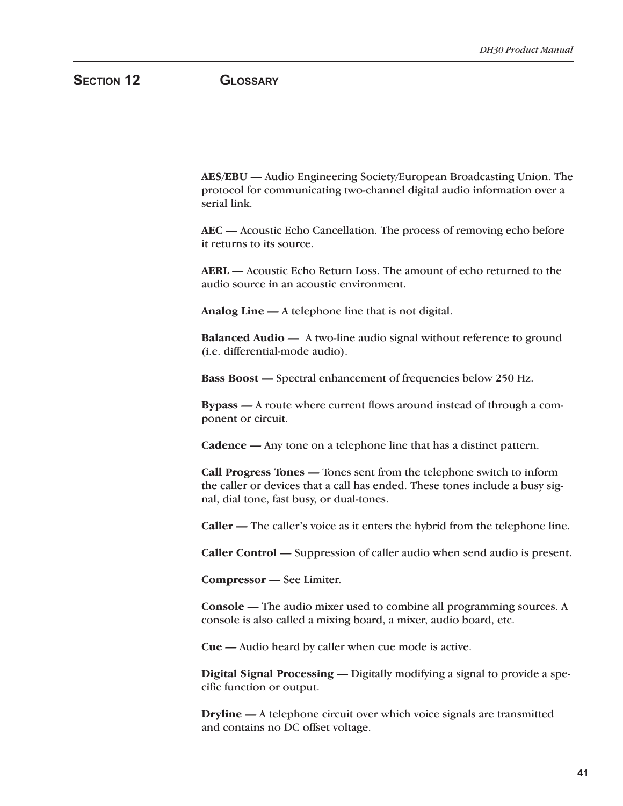# **SECTION 12 GLOSSARY**

**AES/EBU —** Audio Engineering Society/European Broadcasting Union. The protocol for communicating two-channel digital audio information over a serial link.

**AEC —** Acoustic Echo Cancellation. The process of removing echo before it returns to its source.

**AERL —** Acoustic Echo Return Loss. The amount of echo returned to the audio source in an acoustic environment.

**Analog Line —** A telephone line that is not digital.

**Balanced Audio —** A two-line audio signal without reference to ground (i.e. differential-mode audio).

**Bass Boost —** Spectral enhancement of frequencies below 250 Hz.

**Bypass —** A route where current flows around instead of through a component or circuit.

**Cadence —** Any tone on a telephone line that has a distinct pattern.

**Call Progress Tones —** Tones sent from the telephone switch to inform the caller or devices that a call has ended. These tones include a busy signal, dial tone, fast busy, or dual-tones.

**Caller —** The caller's voice as it enters the hybrid from the telephone line.

**Caller Control —** Suppression of caller audio when send audio is present.

**Compressor —** See Limiter.

**Console —** The audio mixer used to combine all programming sources. A console is also called a mixing board, a mixer, audio board, etc.

**Cue —** Audio heard by caller when cue mode is active.

**Digital Signal Processing —** Digitally modifying a signal to provide a specific function or output.

**Dryline —** A telephone circuit over which voice signals are transmitted and contains no DC offset voltage.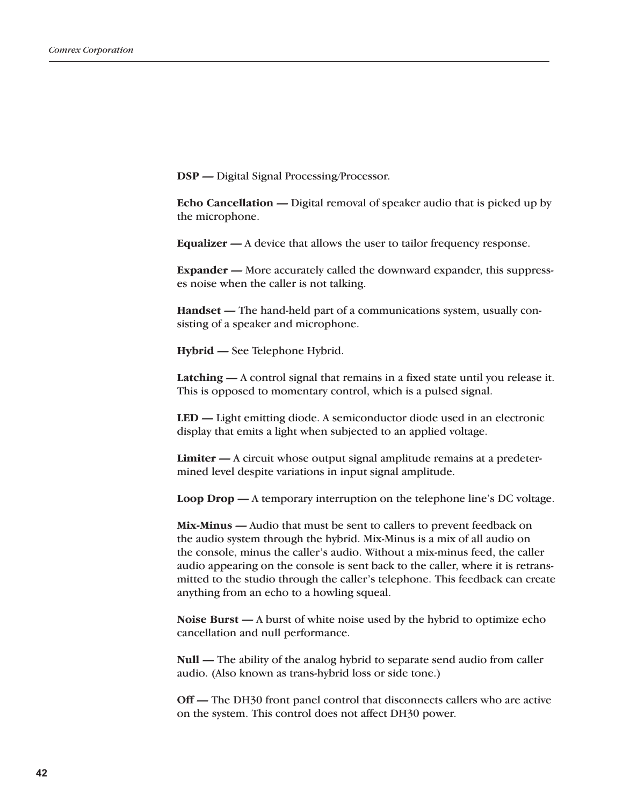**DSP —** Digital Signal Processing/Processor.

**Echo Cancellation —** Digital removal of speaker audio that is picked up by the microphone.

**Equalizer —** A device that allows the user to tailor frequency response.

**Expander —** More accurately called the downward expander, this suppresses noise when the caller is not talking.

**Handset —** The hand-held part of a communications system, usually consisting of a speaker and microphone.

**Hybrid —** See Telephone Hybrid.

**Latching —** A control signal that remains in a fixed state until you release it. This is opposed to momentary control, which is a pulsed signal.

**LED —** Light emitting diode. A semiconductor diode used in an electronic display that emits a light when subjected to an applied voltage.

**Limiter —** A circuit whose output signal amplitude remains at a predetermined level despite variations in input signal amplitude.

**Loop Drop —** A temporary interruption on the telephone line's DC voltage.

**Mix-Minus —** Audio that must be sent to callers to prevent feedback on the audio system through the hybrid. Mix-Minus is a mix of all audio on the console, minus the caller's audio. Without a mix-minus feed, the caller audio appearing on the console is sent back to the caller, where it is retransmitted to the studio through the caller's telephone. This feedback can create anything from an echo to a howling squeal.

**Noise Burst —** A burst of white noise used by the hybrid to optimize echo cancellation and null performance.

**Null —** The ability of the analog hybrid to separate send audio from caller audio. (Also known as trans-hybrid loss or side tone.)

**Off —** The DH30 front panel control that disconnects callers who are active on the system. This control does not affect DH30 power.